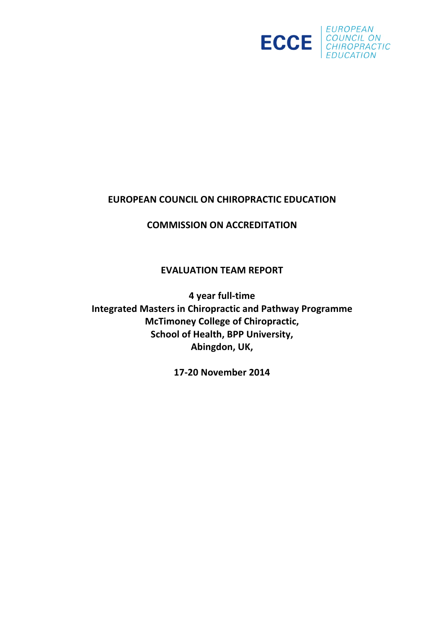

# **EUROPEAN COUNCIL ON CHIROPRACTIC EDUCATION**

# **COMMISSION ON ACCREDITATION**

# **EVALUATION TEAM REPORT**

**4 year full-time Integrated Masters in Chiropractic and Pathway Programme McTimoney College of Chiropractic, School of Health, BPP University, Abingdon, UK,** 

**17-20 November 2014**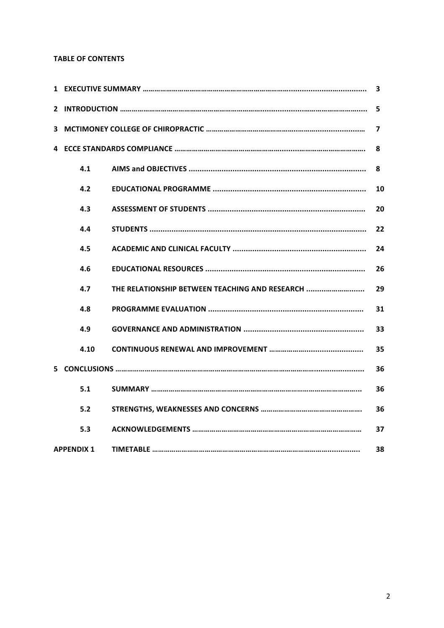## **TABLE OF CONTENTS**

| 3                 |                                                |    |  |  |  |
|-------------------|------------------------------------------------|----|--|--|--|
| 5                 |                                                |    |  |  |  |
| 7                 |                                                |    |  |  |  |
|                   |                                                |    |  |  |  |
| 4.1               |                                                | 8  |  |  |  |
| 4.2               |                                                | 10 |  |  |  |
| 4.3               |                                                | 20 |  |  |  |
| 4.4               |                                                | 22 |  |  |  |
| 4.5               |                                                | 24 |  |  |  |
| 4.6               |                                                | 26 |  |  |  |
| 4.7               | THE RELATIONSHIP BETWEEN TEACHING AND RESEARCH | 29 |  |  |  |
| 4.8               |                                                | 31 |  |  |  |
| 4.9               |                                                | 33 |  |  |  |
| 4.10              |                                                | 35 |  |  |  |
| 36                |                                                |    |  |  |  |
| 5.1               |                                                | 36 |  |  |  |
| 5.2               |                                                | 36 |  |  |  |
| 5.3               |                                                | 37 |  |  |  |
| <b>APPENDIX 1</b> |                                                | 38 |  |  |  |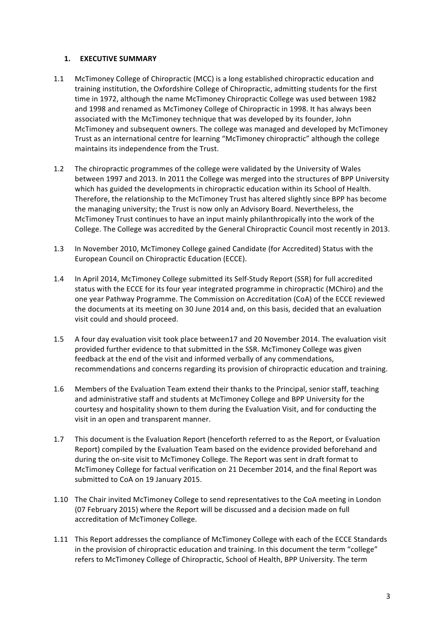## **1. EXECUTIVE SUMMARY**

- 1.1 McTimoney College of Chiropractic (MCC) is a long established chiropractic education and training institution, the Oxfordshire College of Chiropractic, admitting students for the first time in 1972, although the name McTimoney Chiropractic College was used between 1982 and 1998 and renamed as McTimoney College of Chiropractic in 1998. It has always been associated with the McTimoney technique that was developed by its founder, John McTimoney and subsequent owners. The college was managed and developed by McTimoney Trust as an international centre for learning "McTimoney chiropractic" although the college maintains its independence from the Trust.
- 1.2 The chiropractic programmes of the college were validated by the University of Wales between 1997 and 2013. In 2011 the College was merged into the structures of BPP University which has guided the developments in chiropractic education within its School of Health. Therefore, the relationship to the McTimoney Trust has altered slightly since BPP has become the managing university; the Trust is now only an Advisory Board. Nevertheless, the McTimoney Trust continues to have an input mainly philanthropically into the work of the College. The College was accredited by the General Chiropractic Council most recently in 2013.
- 1.3 In November 2010, McTimoney College gained Candidate (for Accredited) Status with the European Council on Chiropractic Education (ECCE).
- 1.4 In April 2014, McTimoney College submitted its Self-Study Report (SSR) for full accredited status with the ECCE for its four year integrated programme in chiropractic (MChiro) and the one year Pathway Programme. The Commission on Accreditation (CoA) of the ECCE reviewed the documents at its meeting on 30 June 2014 and, on this basis, decided that an evaluation visit could and should proceed.
- 1.5 A four day evaluation visit took place between17 and 20 November 2014. The evaluation visit provided further evidence to that submitted in the SSR. McTimoney College was given feedback at the end of the visit and informed verbally of any commendations, recommendations and concerns regarding its provision of chiropractic education and training.
- 1.6 Members of the Evaluation Team extend their thanks to the Principal, senior staff, teaching and administrative staff and students at McTimoney College and BPP University for the courtesy and hospitality shown to them during the Evaluation Visit, and for conducting the visit in an open and transparent manner.
- 1.7 This document is the Evaluation Report (henceforth referred to as the Report, or Evaluation Report) compiled by the Evaluation Team based on the evidence provided beforehand and during the on-site visit to McTimoney College. The Report was sent in draft format to McTimoney College for factual verification on 21 December 2014, and the final Report was submitted to CoA on 19 January 2015.
- 1.10 The Chair invited McTimoney College to send representatives to the CoA meeting in London (07 February 2015) where the Report will be discussed and a decision made on full accreditation of McTimoney College.
- 1.11 This Report addresses the compliance of McTimoney College with each of the ECCE Standards in the provision of chiropractic education and training. In this document the term "college" refers to McTimoney College of Chiropractic, School of Health, BPP University. The term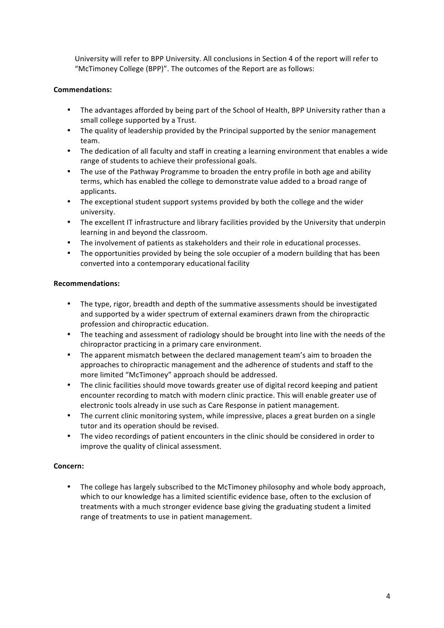University will refer to BPP University. All conclusions in Section 4 of the report will refer to "McTimoney College (BPP)". The outcomes of the Report are as follows:

## **Commendations:**

- The advantages afforded by being part of the School of Health, BPP University rather than a small college supported by a Trust.
- The quality of leadership provided by the Principal supported by the senior management team.
- The dedication of all faculty and staff in creating a learning environment that enables a wide range of students to achieve their professional goals.
- The use of the Pathway Programme to broaden the entry profile in both age and ability terms, which has enabled the college to demonstrate value added to a broad range of applicants.
- The exceptional student support systems provided by both the college and the wider university.
- The excellent IT infrastructure and library facilities provided by the University that underpin learning in and beyond the classroom.
- The involvement of patients as stakeholders and their role in educational processes.
- The opportunities provided by being the sole occupier of a modern building that has been converted into a contemporary educational facility

## **Recommendations:**

- The type, rigor, breadth and depth of the summative assessments should be investigated and supported by a wider spectrum of external examiners drawn from the chiropractic profession and chiropractic education.
- The teaching and assessment of radiology should be brought into line with the needs of the chiropractor practicing in a primary care environment.
- The apparent mismatch between the declared management team's aim to broaden the approaches to chiropractic management and the adherence of students and staff to the more limited "McTimoney" approach should be addressed.
- The clinic facilities should move towards greater use of digital record keeping and patient encounter recording to match with modern clinic practice. This will enable greater use of electronic tools already in use such as Care Response in patient management.
- The current clinic monitoring system, while impressive, places a great burden on a single tutor and its operation should be revised.
- The video recordings of patient encounters in the clinic should be considered in order to improve the quality of clinical assessment.

## **Concern:**

• The college has largely subscribed to the McTimoney philosophy and whole body approach, which to our knowledge has a limited scientific evidence base, often to the exclusion of treatments with a much stronger evidence base giving the graduating student a limited range of treatments to use in patient management.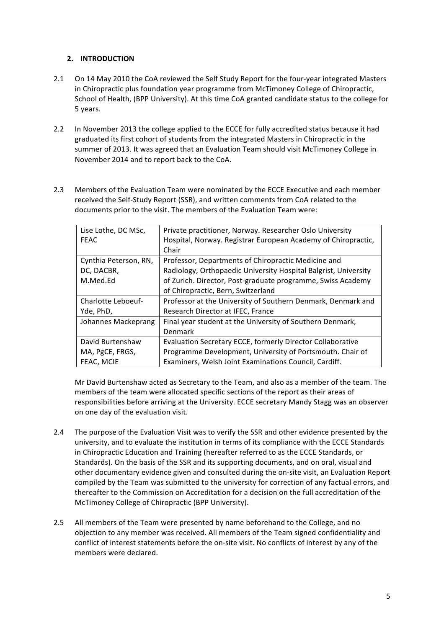## **2. INTRODUCTION**

- 2.1 On 14 May 2010 the CoA reviewed the Self Study Report for the four-year integrated Masters in Chiropractic plus foundation year programme from McTimoney College of Chiropractic, School of Health, (BPP University). At this time CoA granted candidate status to the college for 5 years.
- 2.2 In November 2013 the college applied to the ECCE for fully accredited status because it had graduated its first cohort of students from the integrated Masters in Chiropractic in the summer of 2013. It was agreed that an Evaluation Team should visit McTimoney College in November 2014 and to report back to the CoA.
- 2.3 Members of the Evaluation Team were nominated by the ECCE Executive and each member received the Self-Study Report (SSR), and written comments from CoA related to the documents prior to the visit. The members of the Evaluation Team were:

| Lise Lothe, DC MSc,   | Private practitioner, Norway. Researcher Oslo University        |  |  |
|-----------------------|-----------------------------------------------------------------|--|--|
| <b>FEAC</b>           | Hospital, Norway. Registrar European Academy of Chiropractic,   |  |  |
|                       | Chair                                                           |  |  |
| Cynthia Peterson, RN, | Professor, Departments of Chiropractic Medicine and             |  |  |
| DC, DACBR,            | Radiology, Orthopaedic University Hospital Balgrist, University |  |  |
| M.Med.Ed              | of Zurich. Director, Post-graduate programme, Swiss Academy     |  |  |
|                       | of Chiropractic, Bern, Switzerland                              |  |  |
| Charlotte Leboeuf-    | Professor at the University of Southern Denmark, Denmark and    |  |  |
| Yde, PhD,             | Research Director at IFEC, France                               |  |  |
| Johannes Mackeprang   | Final year student at the University of Southern Denmark,       |  |  |
|                       | Denmark                                                         |  |  |
| David Burtenshaw      | Evaluation Secretary ECCE, formerly Director Collaborative      |  |  |
| MA, PgCE, FRGS,       | Programme Development, University of Portsmouth. Chair of       |  |  |
| FEAC. MCIE            | Examiners, Welsh Joint Examinations Council, Cardiff.           |  |  |

Mr David Burtenshaw acted as Secretary to the Team, and also as a member of the team. The members of the team were allocated specific sections of the report as their areas of responsibilities before arriving at the University. ECCE secretary Mandy Stagg was an observer on one day of the evaluation visit.

- 2.4 The purpose of the Evaluation Visit was to verify the SSR and other evidence presented by the university, and to evaluate the institution in terms of its compliance with the ECCE Standards in Chiropractic Education and Training (hereafter referred to as the ECCE Standards, or Standards). On the basis of the SSR and its supporting documents, and on oral, visual and other documentary evidence given and consulted during the on-site visit, an Evaluation Report compiled by the Team was submitted to the university for correction of any factual errors, and thereafter to the Commission on Accreditation for a decision on the full accreditation of the McTimoney College of Chiropractic (BPP University).
- 2.5 All members of the Team were presented by name beforehand to the College, and no objection to any member was received. All members of the Team signed confidentiality and conflict of interest statements before the on-site visit. No conflicts of interest by any of the members were declared.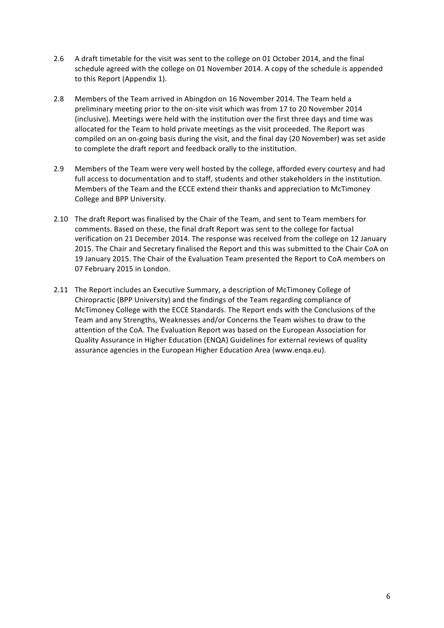- 2.6 A draft timetable for the visit was sent to the college on 01 October 2014, and the final schedule agreed with the college on 01 November 2014. A copy of the schedule is appended to this Report (Appendix 1).
- 2.8 Members of the Team arrived in Abingdon on 16 November 2014. The Team held a preliminary meeting prior to the on-site visit which was from 17 to 20 November 2014 (inclusive). Meetings were held with the institution over the first three days and time was allocated for the Team to hold private meetings as the visit proceeded. The Report was compiled on an on-going basis during the visit, and the final day (20 November) was set aside to complete the draft report and feedback orally to the institution.
- 2.9 Members of the Team were very well hosted by the college, afforded every courtesy and had full access to documentation and to staff, students and other stakeholders in the institution. Members of the Team and the ECCE extend their thanks and appreciation to McTimoney College and BPP University.
- 2.10 The draft Report was finalised by the Chair of the Team, and sent to Team members for comments. Based on these, the final draft Report was sent to the college for factual verification on 21 December 2014. The response was received from the college on 12 January 2015. The Chair and Secretary finalised the Report and this was submitted to the Chair CoA on 19 January 2015. The Chair of the Evaluation Team presented the Report to CoA members on 07 February 2015 in London.
- 2.11 The Report includes an Executive Summary, a description of McTimoney College of Chiropractic (BPP University) and the findings of the Team regarding compliance of McTimoney College with the ECCE Standards. The Report ends with the Conclusions of the Team and any Strengths, Weaknesses and/or Concerns the Team wishes to draw to the attention of the CoA. The Evaluation Report was based on the European Association for Quality Assurance in Higher Education (ENQA) Guidelines for external reviews of quality assurance agencies in the European Higher Education Area (www.enqa.eu).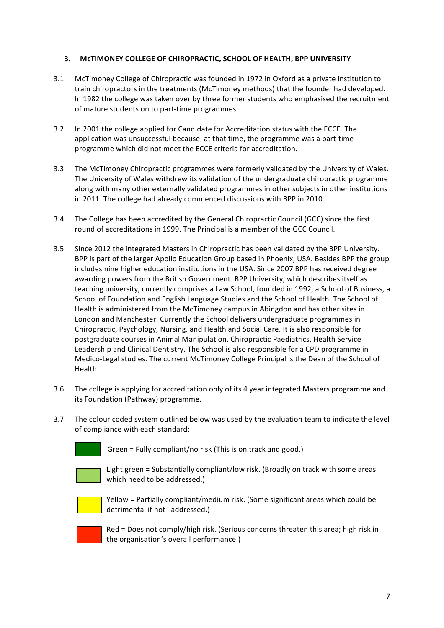## **3. MCTIMONEY COLLEGE OF CHIROPRACTIC, SCHOOL OF HEALTH, BPP UNIVERSITY**

- 3.1 McTimoney College of Chiropractic was founded in 1972 in Oxford as a private institution to train chiropractors in the treatments (McTimoney methods) that the founder had developed. In 1982 the college was taken over by three former students who emphasised the recruitment of mature students on to part-time programmes.
- 3.2 In 2001 the college applied for Candidate for Accreditation status with the ECCE. The application was unsuccessful because, at that time, the programme was a part-time programme which did not meet the ECCE criteria for accreditation.
- 3.3 The McTimoney Chiropractic programmes were formerly validated by the University of Wales. The University of Wales withdrew its validation of the undergraduate chiropractic programme along with many other externally validated programmes in other subjects in other institutions in 2011. The college had already commenced discussions with BPP in 2010.
- 3.4 The College has been accredited by the General Chiropractic Council (GCC) since the first round of accreditations in 1999. The Principal is a member of the GCC Council.
- 3.5 Since 2012 the integrated Masters in Chiropractic has been validated by the BPP University. BPP is part of the larger Apollo Education Group based in Phoenix, USA. Besides BPP the group includes nine higher education institutions in the USA. Since 2007 BPP has received degree awarding powers from the British Government. BPP University, which describes itself as teaching university, currently comprises a Law School, founded in 1992, a School of Business, a School of Foundation and English Language Studies and the School of Health. The School of Health is administered from the McTimoney campus in Abingdon and has other sites in London and Manchester. Currently the School delivers undergraduate programmes in Chiropractic, Psychology, Nursing, and Health and Social Care. It is also responsible for postgraduate courses in Animal Manipulation, Chiropractic Paediatrics, Health Service Leadership and Clinical Dentistry. The School is also responsible for a CPD programme in Medico-Legal studies. The current McTimoney College Principal is the Dean of the School of Health.
- 3.6 The college is applying for accreditation only of its 4 year integrated Masters programme and its Foundation (Pathway) programme.
- 3.7 The colour coded system outlined below was used by the evaluation team to indicate the level of compliance with each standard:



Green = Fully compliant/no risk (This is on track and good.)



Light green = Substantially compliant/low risk. (Broadly on track with some areas which need to be addressed.)



Yellow = Partially compliant/medium risk. (Some significant areas which could be detrimental if not addressed.)



 $Red = Does not comply/high risk.$  (Serious concerns threaten this area; high risk in the organisation's overall performance.)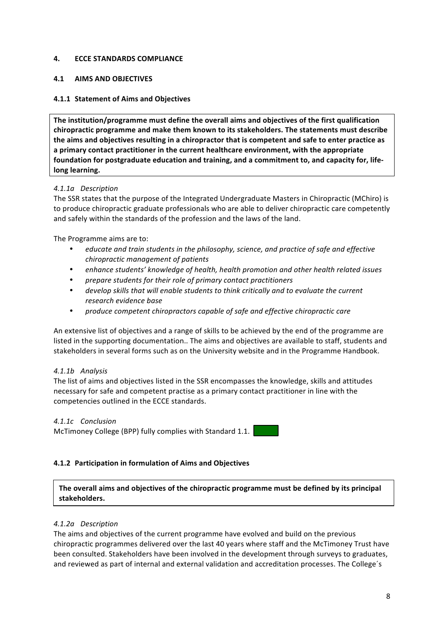## **4. ECCE STANDARDS COMPLIANCE**

## **4.1 AIMS AND OBJECTIVES**

## **4.1.1 Statement of Aims and Objectives**

The institution/programme must define the overall aims and objectives of the first qualification chiropractic programme and make them known to its stakeholders. The statements must describe the aims and objectives resulting in a chiropractor that is competent and safe to enter practice as a primary contact practitioner in the current healthcare environment, with the appropriate foundation for postgraduate education and training, and a commitment to, and capacity for, lifelong learning.

## *4.1.1a Description*

The SSR states that the purpose of the Integrated Undergraduate Masters in Chiropractic (MChiro) is to produce chiropractic graduate professionals who are able to deliver chiropractic care competently and safely within the standards of the profession and the laws of the land.

The Programme aims are to:

- educate and train students in the philosophy, science, and practice of safe and effective *chiropractic management of patients*
- *enhance students' knowledge of health, health promotion and other health related issues*
- *prepare students for their role of primary contact practitioners*
- develop skills that will enable students to think critically and to evaluate the current *research evidence base*
- *produce competent chiropractors capable of safe and effective chiropractic care*

An extensive list of objectives and a range of skills to be achieved by the end of the programme are listed in the supporting documentation.. The aims and objectives are available to staff, students and stakeholders in several forms such as on the University website and in the Programme Handbook.

## *4.1.1b Analysis*

The list of aims and objectives listed in the SSR encompasses the knowledge, skills and attitudes necessary for safe and competent practise as a primary contact practitioner in line with the competencies outlined in the ECCE standards.

## *4.1.1c Conclusion*

McTimoney College (BPP) fully complies with Standard 1.1.

## **4.1.2 Participation in formulation of Aims and Objectives**

The overall aims and objectives of the chiropractic programme must be defined by its principal **stakeholders.**

## *4.1.2a Description*

The aims and objectives of the current programme have evolved and build on the previous chiropractic programmes delivered over the last 40 years where staff and the McTimoney Trust have been consulted. Stakeholders have been involved in the development through surveys to graduates, and reviewed as part of internal and external validation and accreditation processes. The College's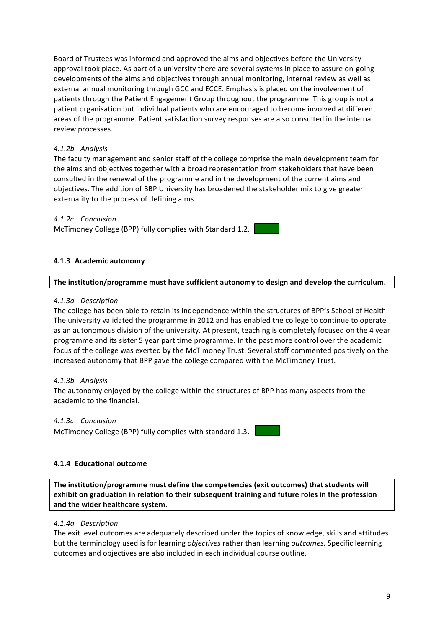Board of Trustees was informed and approved the aims and objectives before the University approval took place. As part of a university there are several systems in place to assure on-going developments of the aims and objectives through annual monitoring, internal review as well as external annual monitoring through GCC and ECCE. Emphasis is placed on the involvement of patients through the Patient Engagement Group throughout the programme. This group is not a patient organisation but individual patients who are encouraged to become involved at different areas of the programme. Patient satisfaction survey responses are also consulted in the internal review processes.

## *4.1.2b Analysis*

The faculty management and senior staff of the college comprise the main development team for the aims and objectives together with a broad representation from stakeholders that have been consulted in the renewal of the programme and in the development of the current aims and objectives. The addition of BBP University has broadened the stakeholder mix to give greater externality to the process of defining aims.

## *4.1.2c Conclusion*

McTimoney College (BPP) fully complies with Standard 1.2.

## **4.1.3 Academic autonomy**

#### The institution/programme must have sufficient autonomy to design and develop the curriculum.

#### *4.1.3a Description*

The college has been able to retain its independence within the structures of BPP's School of Health. The university validated the programme in 2012 and has enabled the college to continue to operate as an autonomous division of the university. At present, teaching is completely focused on the 4 year programme and its sister 5 year part time programme. In the past more control over the academic focus of the college was exerted by the McTimoney Trust. Several staff commented positively on the increased autonomy that BPP gave the college compared with the McTimoney Trust.

## *4.1.3b Analysis*

The autonomy enjoyed by the college within the structures of BPP has many aspects from the academic to the financial

## *4.1.3c Conclusion*

McTimoney College (BPP) fully complies with standard 1.3.

## **4.1.4 Educational outcome**

The institution/programme must define the competencies (exit outcomes) that students will exhibit on graduation in relation to their subsequent training and future roles in the profession and the wider healthcare system.

#### *4.1.4a Description*

The exit level outcomes are adequately described under the topics of knowledge, skills and attitudes but the terminology used is for learning *objectives* rather than learning *outcomes*. Specific learning outcomes and objectives are also included in each individual course outline.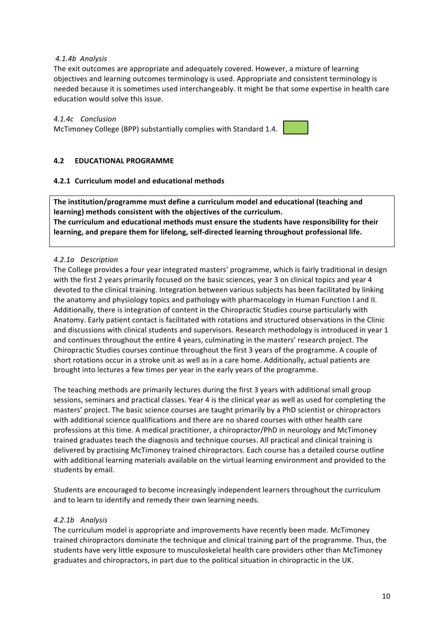## *4.1.4b Analysis*

The exit outcomes are appropriate and adequately covered. However, a mixture of learning objectives and learning outcomes terminology is used. Appropriate and consistent terminology is needed because it is sometimes used interchangeably. It might be that some expertise in health care education would solve this issue.

## *4.1.4c Conclusion*

McTimoney College (BPP) substantially complies with Standard 1.4.

## **4.2 EDUCATIONAL PROGRAMME**

## **4.2.1 Curriculum model and educational methods**

The institution/programme must define a curriculum model and educational (teaching and learning) methods consistent with the objectives of the curriculum. The curriculum and educational methods must ensure the students have responsibility for their learning, and prepare them for lifelong, self-directed learning throughout professional life.

## *4.2.1a Description*

The College provides a four year integrated masters' programme, which is fairly traditional in design with the first 2 years primarily focused on the basic sciences, year 3 on clinical topics and year 4 devoted to the clinical training. Integration between various subjects has been facilitated by linking the anatomy and physiology topics and pathology with pharmacology in Human Function I and II. Additionally, there is integration of content in the Chiropractic Studies course particularly with Anatomy. Early patient contact is facilitated with rotations and structured observations in the Clinic and discussions with clinical students and supervisors. Research methodology is introduced in year 1 and continues throughout the entire 4 years, culminating in the masters' research project. The Chiropractic Studies courses continue throughout the first 3 years of the programme. A couple of short rotations occur in a stroke unit as well as in a care home. Additionally, actual patients are brought into lectures a few times per year in the early years of the programme.

The teaching methods are primarily lectures during the first 3 years with additional small group sessions, seminars and practical classes. Year 4 is the clinical year as well as used for completing the masters' project. The basic science courses are taught primarily by a PhD scientist or chiropractors with additional science qualifications and there are no shared courses with other health care professions at this time. A medical practitioner, a chiropractor/PhD in neurology and McTimoney trained graduates teach the diagnosis and technique courses. All practical and clinical training is delivered by practising McTimoney trained chiropractors. Each course has a detailed course outline with additional learning materials available on the virtual learning environment and provided to the students by email.

Students are encouraged to become increasingly independent learners throughout the curriculum and to learn to identify and remedy their own learning needs.

## *4.2.1b Analysis*

The curriculum model is appropriate and improvements have recently been made. McTimoney trained chiropractors dominate the technique and clinical training part of the programme. Thus, the students have very little exposure to musculoskeletal health care providers other than McTimoney graduates and chiropractors, in part due to the political situation in chiropractic in the UK.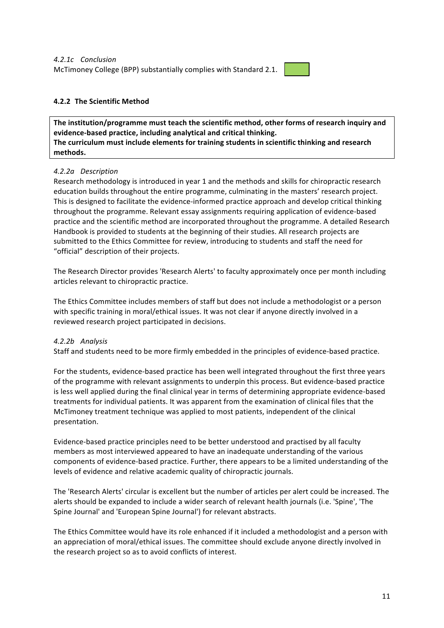

## **4.2.2 The Scientific Method**

The institution/programme must teach the scientific method, other forms of research inquiry and evidence-based practice, including analytical and critical thinking. The curriculum must include elements for training students in scientific thinking and research **methods.**

## *4.2.2a Description*

Research methodology is introduced in year 1 and the methods and skills for chiropractic research education builds throughout the entire programme, culminating in the masters' research project. This is designed to facilitate the evidence-informed practice approach and develop critical thinking throughout the programme. Relevant essay assignments requiring application of evidence-based practice and the scientific method are incorporated throughout the programme. A detailed Research Handbook is provided to students at the beginning of their studies. All research projects are submitted to the Ethics Committee for review, introducing to students and staff the need for "official" description of their projects.

The Research Director provides 'Research Alerts' to faculty approximately once per month including articles relevant to chiropractic practice.

The Ethics Committee includes members of staff but does not include a methodologist or a person with specific training in moral/ethical issues. It was not clear if anyone directly involved in a reviewed research project participated in decisions.

## *4.2.2b Analysis*

Staff and students need to be more firmly embedded in the principles of evidence-based practice.

For the students, evidence-based practice has been well integrated throughout the first three years of the programme with relevant assignments to underpin this process. But evidence-based practice is less well applied during the final clinical year in terms of determining appropriate evidence-based treatments for individual patients. It was apparent from the examination of clinical files that the McTimoney treatment technique was applied to most patients, independent of the clinical presentation.

Evidence-based practice principles need to be better understood and practised by all faculty members as most interviewed appeared to have an inadequate understanding of the various components of evidence-based practice. Further, there appears to be a limited understanding of the levels of evidence and relative academic quality of chiropractic journals.

The 'Research Alerts' circular is excellent but the number of articles per alert could be increased. The alerts should be expanded to include a wider search of relevant health journals (i.e. 'Spine', 'The Spine Journal' and 'European Spine Journal') for relevant abstracts.

The Ethics Committee would have its role enhanced if it included a methodologist and a person with an appreciation of moral/ethical issues. The committee should exclude anyone directly involved in the research project so as to avoid conflicts of interest.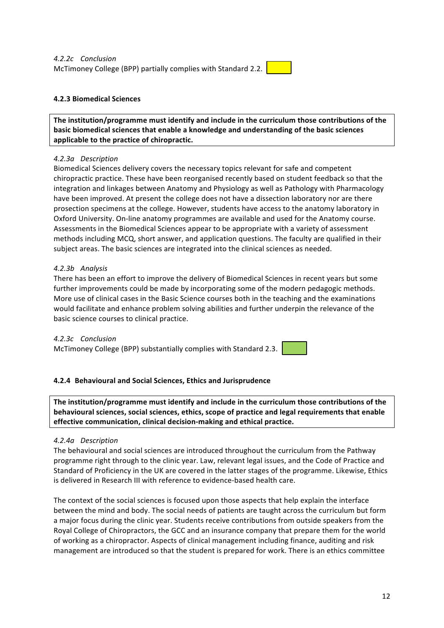## **4.2.3 Biomedical Sciences**

The institution/programme must identify and include in the curriculum those contributions of the basic biomedical sciences that enable a knowledge and understanding of the basic sciences applicable to the practice of chiropractic.

## *4.2.3a Description*

Biomedical Sciences delivery covers the necessary topics relevant for safe and competent chiropractic practice. These have been reorganised recently based on student feedback so that the integration and linkages between Anatomy and Physiology as well as Pathology with Pharmacology have been improved. At present the college does not have a dissection laboratory nor are there prosection specimens at the college. However, students have access to the anatomy laboratory in Oxford University. On-line anatomy programmes are available and used for the Anatomy course. Assessments in the Biomedical Sciences appear to be appropriate with a variety of assessment methods including MCQ, short answer, and application questions. The faculty are qualified in their subject areas. The basic sciences are integrated into the clinical sciences as needed.

## *4.2.3b Analysis*

There has been an effort to improve the delivery of Biomedical Sciences in recent years but some further improvements could be made by incorporating some of the modern pedagogic methods. More use of clinical cases in the Basic Science courses both in the teaching and the examinations would facilitate and enhance problem solving abilities and further underpin the relevance of the basic science courses to clinical practice.

## *4.2.3c Conclusion*

McTimoney College (BPP) substantially complies with Standard 2.3.

## **4.2.4 Behavioural and Social Sciences, Ethics and Jurisprudence**

The institution/programme must identify and include in the curriculum those contributions of the **behavioural sciences, social sciences, ethics, scope of practice and legal requirements that enable** effective communication, clinical decision-making and ethical practice.

## *4.2.4a Description*

The behavioural and social sciences are introduced throughout the curriculum from the Pathway programme right through to the clinic year. Law, relevant legal issues, and the Code of Practice and Standard of Proficiency in the UK are covered in the latter stages of the programme. Likewise, Ethics is delivered in Research III with reference to evidence-based health care.

The context of the social sciences is focused upon those aspects that help explain the interface between the mind and body. The social needs of patients are taught across the curriculum but form a major focus during the clinic year. Students receive contributions from outside speakers from the Royal College of Chiropractors, the GCC and an insurance company that prepare them for the world of working as a chiropractor. Aspects of clinical management including finance, auditing and risk management are introduced so that the student is prepared for work. There is an ethics committee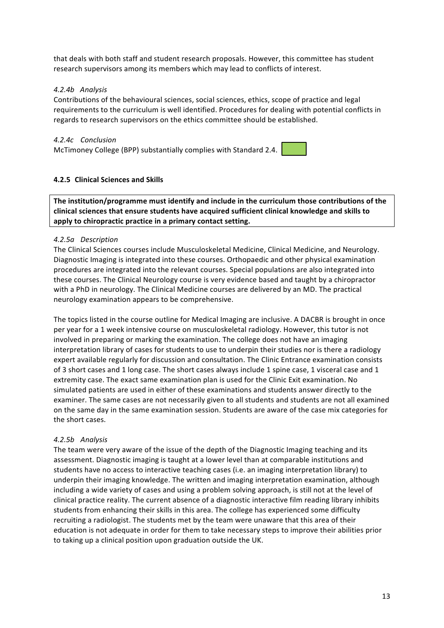that deals with both staff and student research proposals. However, this committee has student research supervisors among its members which may lead to conflicts of interest.

## *4.2.4b Analysis*

Contributions of the behavioural sciences, social sciences, ethics, scope of practice and legal requirements to the curriculum is well identified. Procedures for dealing with potential conflicts in regards to research supervisors on the ethics committee should be established.

## *4.2.4c Conclusion*

McTimoney College (BPP) substantially complies with Standard 2.4.

## **4.2.5 Clinical Sciences and Skills**

The institution/programme must identify and include in the curriculum those contributions of the clinical sciences that ensure students have acquired sufficient clinical knowledge and skills to apply to chiropractic practice in a primary contact setting.

## *4.2.5a Description*

The Clinical Sciences courses include Musculoskeletal Medicine, Clinical Medicine, and Neurology. Diagnostic Imaging is integrated into these courses. Orthopaedic and other physical examination procedures are integrated into the relevant courses. Special populations are also integrated into these courses. The Clinical Neurology course is very evidence based and taught by a chiropractor with a PhD in neurology. The Clinical Medicine courses are delivered by an MD. The practical neurology examination appears to be comprehensive.

The topics listed in the course outline for Medical Imaging are inclusive. A DACBR is brought in once per year for a 1 week intensive course on musculoskeletal radiology. However, this tutor is not involved in preparing or marking the examination. The college does not have an imaging interpretation library of cases for students to use to underpin their studies nor is there a radiology expert available regularly for discussion and consultation. The Clinic Entrance examination consists of 3 short cases and 1 long case. The short cases always include 1 spine case, 1 visceral case and 1 extremity case. The exact same examination plan is used for the Clinic Exit examination. No simulated patients are used in either of these examinations and students answer directly to the examiner. The same cases are not necessarily given to all students and students are not all examined on the same day in the same examination session. Students are aware of the case mix categories for the short cases.

## *4.2.5b Analysis*

The team were very aware of the issue of the depth of the Diagnostic Imaging teaching and its assessment. Diagnostic imaging is taught at a lower level than at comparable institutions and students have no access to interactive teaching cases (i.e. an imaging interpretation library) to underpin their imaging knowledge. The written and imaging interpretation examination, although including a wide variety of cases and using a problem solving approach, is still not at the level of clinical practice reality. The current absence of a diagnostic interactive film reading library inhibits students from enhancing their skills in this area. The college has experienced some difficulty recruiting a radiologist. The students met by the team were unaware that this area of their education is not adequate in order for them to take necessary steps to improve their abilities prior to taking up a clinical position upon graduation outside the UK.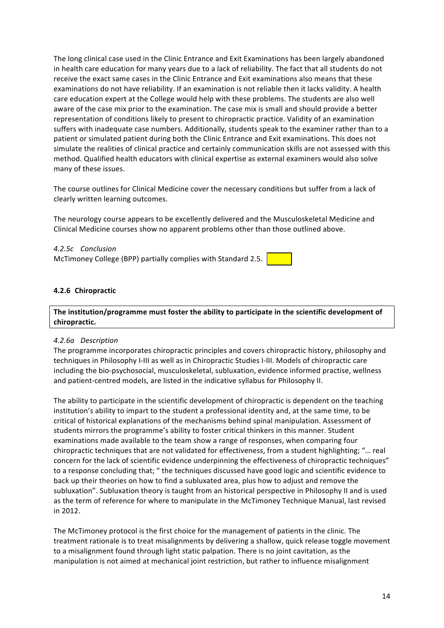The long clinical case used in the Clinic Entrance and Exit Examinations has been largely abandoned in health care education for many years due to a lack of reliability. The fact that all students do not receive the exact same cases in the Clinic Entrance and Exit examinations also means that these examinations do not have reliability. If an examination is not reliable then it lacks validity. A health care education expert at the College would help with these problems. The students are also well aware of the case mix prior to the examination. The case mix is small and should provide a better representation of conditions likely to present to chiropractic practice. Validity of an examination suffers with inadequate case numbers. Additionally, students speak to the examiner rather than to a patient or simulated patient during both the Clinic Entrance and Exit examinations. This does not simulate the realities of clinical practice and certainly communication skills are not assessed with this method. Qualified health educators with clinical expertise as external examiners would also solve many of these issues.

The course outlines for Clinical Medicine cover the necessary conditions but suffer from a lack of clearly written learning outcomes.

The neurology course appears to be excellently delivered and the Musculoskeletal Medicine and Clinical Medicine courses show no apparent problems other than those outlined above.

*4.2.5c Conclusion* McTimoney College (BPP) partially complies with Standard 2.5.

## **4.2.6 Chiropractic**

## The institution/programme must foster the ability to participate in the scientific development of **chiropractic.**

#### *4.2.6a Description*

The programme incorporates chiropractic principles and covers chiropractic history, philosophy and techniques in Philosophy I-III as well as in Chiropractic Studies I-III. Models of chiropractic care including the bio-psychosocial, musculoskeletal, subluxation, evidence informed practise, wellness and patient-centred models, are listed in the indicative syllabus for Philosophy II.

The ability to participate in the scientific development of chiropractic is dependent on the teaching institution's ability to impart to the student a professional identity and, at the same time, to be critical of historical explanations of the mechanisms behind spinal manipulation. Assessment of students mirrors the programme's ability to foster critical thinkers in this manner. Student examinations made available to the team show a range of responses, when comparing four chiropractic techniques that are not validated for effectiveness, from a student highlighting; "... real concern for the lack of scientific evidence underpinning the effectiveness of chiropractic techniques" to a response concluding that; " the techniques discussed have good logic and scientific evidence to back up their theories on how to find a subluxated area, plus how to adjust and remove the subluxation". Subluxation theory is taught from an historical perspective in Philosophy II and is used as the term of reference for where to manipulate in the McTimoney Technique Manual, last revised in 2012. 

The McTimoney protocol is the first choice for the management of patients in the clinic. The treatment rationale is to treat misalignments by delivering a shallow, quick release toggle movement to a misalignment found through light static palpation. There is no joint cavitation, as the manipulation is not aimed at mechanical joint restriction, but rather to influence misalignment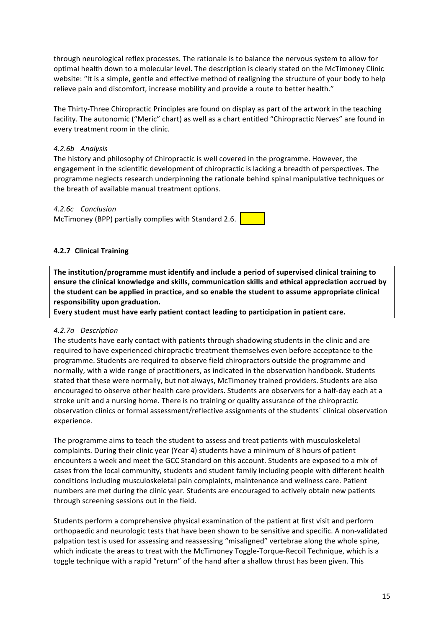through neurological reflex processes. The rationale is to balance the nervous system to allow for optimal health down to a molecular level. The description is clearly stated on the McTimoney Clinic website: "It is a simple, gentle and effective method of realigning the structure of your body to help relieve pain and discomfort, increase mobility and provide a route to better health."

The Thirty-Three Chiropractic Principles are found on display as part of the artwork in the teaching facility. The autonomic ("Meric" chart) as well as a chart entitled "Chiropractic Nerves" are found in every treatment room in the clinic.

## *4.2.6b Analysis*

The history and philosophy of Chiropractic is well covered in the programme. However, the engagement in the scientific development of chiropractic is lacking a breadth of perspectives. The programme neglects research underpinning the rationale behind spinal manipulative techniques or the breath of available manual treatment options.

## *4.2.6c Conclusion*

McTimoney (BPP) partially complies with Standard 2.6.

## **4.2.7 Clinical Training**

The institution/programme must identify and include a period of supervised clinical training to ensure the clinical knowledge and skills, communication skills and ethical appreciation accrued by the student can be applied in practice, and so enable the student to assume appropriate clinical responsibility upon graduation.

Every student must have early patient contact leading to participation in patient care.

## *4.2.7a Description*

The students have early contact with patients through shadowing students in the clinic and are required to have experienced chiropractic treatment themselves even before acceptance to the programme. Students are required to observe field chiropractors outside the programme and normally, with a wide range of practitioners, as indicated in the observation handbook. Students stated that these were normally, but not always, McTimoney trained providers. Students are also encouraged to observe other health care providers. Students are observers for a half-day each at a stroke unit and a nursing home. There is no training or quality assurance of the chiropractic observation clinics or formal assessment/reflective assignments of the students' clinical observation experience. 

The programme aims to teach the student to assess and treat patients with musculoskeletal complaints. During their clinic year (Year 4) students have a minimum of 8 hours of patient encounters a week and meet the GCC Standard on this account. Students are exposed to a mix of cases from the local community, students and student family including people with different health conditions including musculoskeletal pain complaints, maintenance and wellness care. Patient numbers are met during the clinic year. Students are encouraged to actively obtain new patients through screening sessions out in the field.

Students perform a comprehensive physical examination of the patient at first visit and perform orthopaedic and neurologic tests that have been shown to be sensitive and specific. A non-validated palpation test is used for assessing and reassessing "misaligned" vertebrae along the whole spine, which indicate the areas to treat with the McTimoney Toggle-Torque-Recoil Technique, which is a toggle technique with a rapid "return" of the hand after a shallow thrust has been given. This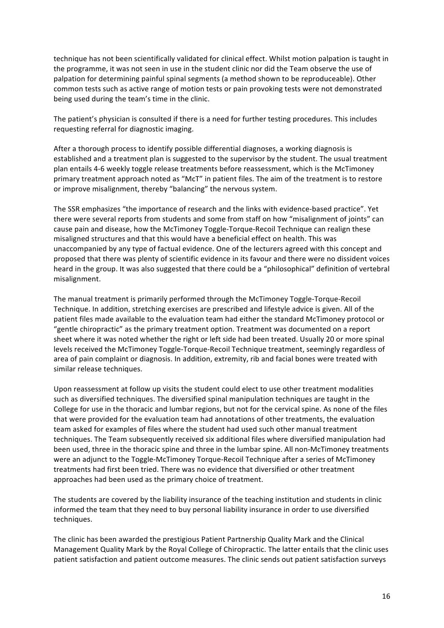technique has not been scientifically validated for clinical effect. Whilst motion palpation is taught in the programme, it was not seen in use in the student clinic nor did the Team observe the use of palpation for determining painful spinal segments (a method shown to be reproduceable). Other common tests such as active range of motion tests or pain provoking tests were not demonstrated being used during the team's time in the clinic.

The patient's physician is consulted if there is a need for further testing procedures. This includes requesting referral for diagnostic imaging.

After a thorough process to identify possible differential diagnoses, a working diagnosis is established and a treatment plan is suggested to the supervisor by the student. The usual treatment plan entails 4-6 weekly toggle release treatments before reassessment, which is the McTimoney primary treatment approach noted as "McT" in patient files. The aim of the treatment is to restore or improve misalignment, thereby "balancing" the nervous system.

The SSR emphasizes "the importance of research and the links with evidence-based practice". Yet there were several reports from students and some from staff on how "misalignment of joints" can cause pain and disease, how the McTimoney Toggle-Torque-Recoil Technique can realign these misaligned structures and that this would have a beneficial effect on health. This was unaccompanied by any type of factual evidence. One of the lecturers agreed with this concept and proposed that there was plenty of scientific evidence in its favour and there were no dissident voices heard in the group. It was also suggested that there could be a "philosophical" definition of vertebral misalignment.

The manual treatment is primarily performed through the McTimoney Toggle-Torque-Recoil Technique. In addition, stretching exercises are prescribed and lifestyle advice is given. All of the patient files made available to the evaluation team had either the standard McTimoney protocol or "gentle chiropractic" as the primary treatment option. Treatment was documented on a report sheet where it was noted whether the right or left side had been treated. Usually 20 or more spinal levels received the McTimoney Toggle-Torque-Recoil Technique treatment, seemingly regardless of area of pain complaint or diagnosis. In addition, extremity, rib and facial bones were treated with similar release techniques.

Upon reassessment at follow up visits the student could elect to use other treatment modalities such as diversified techniques. The diversified spinal manipulation techniques are taught in the College for use in the thoracic and lumbar regions, but not for the cervical spine. As none of the files that were provided for the evaluation team had annotations of other treatments, the evaluation team asked for examples of files where the student had used such other manual treatment techniques. The Team subsequently received six additional files where diversified manipulation had been used, three in the thoracic spine and three in the lumbar spine. All non-McTimoney treatments were an adjunct to the Toggle-McTimoney Torque-Recoil Technique after a series of McTimoney treatments had first been tried. There was no evidence that diversified or other treatment approaches had been used as the primary choice of treatment.

The students are covered by the liability insurance of the teaching institution and students in clinic informed the team that they need to buy personal liability insurance in order to use diversified techniques.

The clinic has been awarded the prestigious Patient Partnership Quality Mark and the Clinical Management Quality Mark by the Royal College of Chiropractic. The latter entails that the clinic uses patient satisfaction and patient outcome measures. The clinic sends out patient satisfaction surveys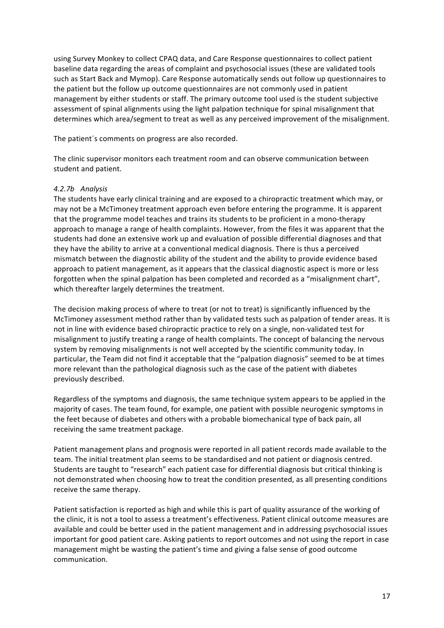using Survey Monkey to collect CPAQ data, and Care Response questionnaires to collect patient baseline data regarding the areas of complaint and psychosocial issues (these are validated tools such as Start Back and Mymop). Care Response automatically sends out follow up questionnaires to the patient but the follow up outcome questionnaires are not commonly used in patient management by either students or staff. The primary outcome tool used is the student subjective assessment of spinal alignments using the light palpation technique for spinal misalignment that determines which area/segment to treat as well as any perceived improvement of the misalignment.

The patient's comments on progress are also recorded.

The clinic supervisor monitors each treatment room and can observe communication between student and patient.

## *4.2.7b Analysis*

The students have early clinical training and are exposed to a chiropractic treatment which may, or may not be a McTimoney treatment approach even before entering the programme. It is apparent that the programme model teaches and trains its students to be proficient in a mono-therapy approach to manage a range of health complaints. However, from the files it was apparent that the students had done an extensive work up and evaluation of possible differential diagnoses and that they have the ability to arrive at a conventional medical diagnosis. There is thus a perceived mismatch between the diagnostic ability of the student and the ability to provide evidence based approach to patient management, as it appears that the classical diagnostic aspect is more or less forgotten when the spinal palpation has been completed and recorded as a "misalignment chart", which thereafter largely determines the treatment.

The decision making process of where to treat (or not to treat) is significantly influenced by the McTimoney assessment method rather than by validated tests such as palpation of tender areas. It is not in line with evidence based chiropractic practice to rely on a single, non-validated test for misalignment to justify treating a range of health complaints. The concept of balancing the nervous system by removing misalignments is not well accepted by the scientific community today. In particular, the Team did not find it acceptable that the "palpation diagnosis" seemed to be at times more relevant than the pathological diagnosis such as the case of the patient with diabetes previously described.

Regardless of the symptoms and diagnosis, the same technique system appears to be applied in the majority of cases. The team found, for example, one patient with possible neurogenic symptoms in the feet because of diabetes and others with a probable biomechanical type of back pain, all receiving the same treatment package.

Patient management plans and prognosis were reported in all patient records made available to the team. The initial treatment plan seems to be standardised and not patient or diagnosis centred. Students are taught to "research" each patient case for differential diagnosis but critical thinking is not demonstrated when choosing how to treat the condition presented, as all presenting conditions receive the same therapy.

Patient satisfaction is reported as high and while this is part of quality assurance of the working of the clinic, it is not a tool to assess a treatment's effectiveness. Patient clinical outcome measures are available and could be better used in the patient management and in addressing psychosocial issues important for good patient care. Asking patients to report outcomes and not using the report in case management might be wasting the patient's time and giving a false sense of good outcome communication.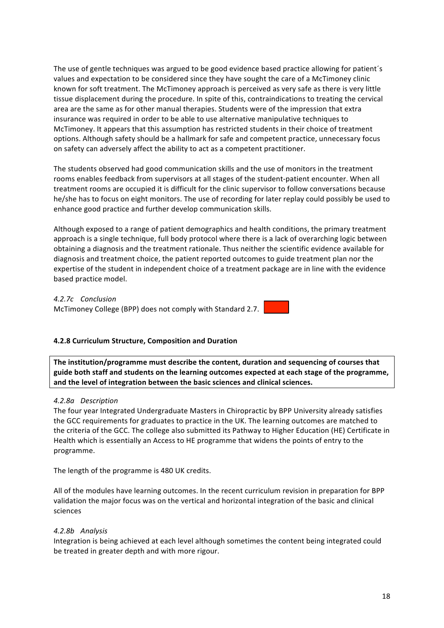The use of gentle techniques was argued to be good evidence based practice allowing for patient's values and expectation to be considered since they have sought the care of a McTimoney clinic known for soft treatment. The McTimoney approach is perceived as very safe as there is very little tissue displacement during the procedure. In spite of this, contraindications to treating the cervical area are the same as for other manual therapies. Students were of the impression that extra insurance was required in order to be able to use alternative manipulative techniques to McTimoney. It appears that this assumption has restricted students in their choice of treatment options. Although safety should be a hallmark for safe and competent practice, unnecessary focus on safety can adversely affect the ability to act as a competent practitioner.

The students observed had good communication skills and the use of monitors in the treatment rooms enables feedback from supervisors at all stages of the student-patient encounter. When all treatment rooms are occupied it is difficult for the clinic supervisor to follow conversations because he/she has to focus on eight monitors. The use of recording for later replay could possibly be used to enhance good practice and further develop communication skills.

Although exposed to a range of patient demographics and health conditions, the primary treatment approach is a single technique, full body protocol where there is a lack of overarching logic between obtaining a diagnosis and the treatment rationale. Thus neither the scientific evidence available for diagnosis and treatment choice, the patient reported outcomes to guide treatment plan nor the expertise of the student in independent choice of a treatment package are in line with the evidence based practice model.

## *4.2.7c Conclusion*

McTimoney College (BPP) does not comply with Standard 2.7.

## **4.2.8 Curriculum Structure, Composition and Duration**

The institution/programme must describe the content, duration and sequencing of courses that guide both staff and students on the learning outcomes expected at each stage of the programme, and the level of integration between the basic sciences and clinical sciences.

## *4.2.8a Description*

The four year Integrated Undergraduate Masters in Chiropractic by BPP University already satisfies the GCC requirements for graduates to practice in the UK. The learning outcomes are matched to the criteria of the GCC. The college also submitted its Pathway to Higher Education (HE) Certificate in Health which is essentially an Access to HE programme that widens the points of entry to the programme. 

The length of the programme is 480 UK credits.

All of the modules have learning outcomes. In the recent curriculum revision in preparation for BPP validation the major focus was on the vertical and horizontal integration of the basic and clinical sciences

## *4.2.8b Analysis*

Integration is being achieved at each level although sometimes the content being integrated could be treated in greater depth and with more rigour.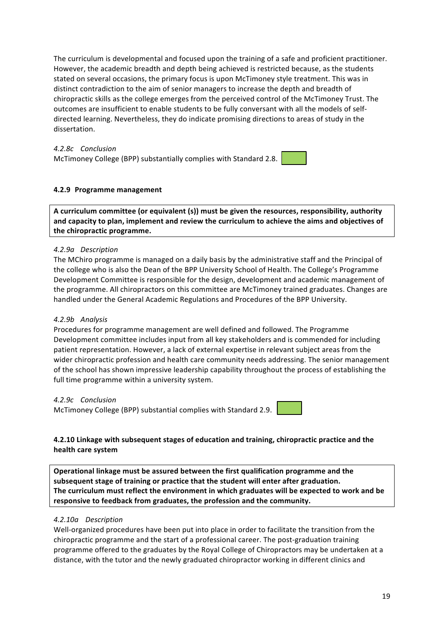The curriculum is developmental and focused upon the training of a safe and proficient practitioner. However, the academic breadth and depth being achieved is restricted because, as the students stated on several occasions, the primary focus is upon McTimoney style treatment. This was in distinct contradiction to the aim of senior managers to increase the depth and breadth of chiropractic skills as the college emerges from the perceived control of the McTimoney Trust. The outcomes are insufficient to enable students to be fully conversant with all the models of selfdirected learning. Nevertheless, they do indicate promising directions to areas of study in the dissertation. 

## *4.2.8c Conclusion* McTimoney College (BPP) substantially complies with Standard 2.8.

## **4.2.9 Programme management**

A curriculum committee (or equivalent (s)) must be given the resources, responsibility, authority and capacity to plan, implement and review the curriculum to achieve the aims and objectives of the chiropractic programme.

## *4.2.9a Description*

The MChiro programme is managed on a daily basis by the administrative staff and the Principal of the college who is also the Dean of the BPP University School of Health. The College's Programme Development Committee is responsible for the design, development and academic management of the programme. All chiropractors on this committee are McTimoney trained graduates. Changes are handled under the General Academic Regulations and Procedures of the BPP University.

## *4.2.9b Analysis*

Procedures for programme management are well defined and followed. The Programme Development committee includes input from all key stakeholders and is commended for including patient representation. However, a lack of external expertise in relevant subject areas from the wider chiropractic profession and health care community needs addressing. The senior management of the school has shown impressive leadership capability throughout the process of establishing the full time programme within a university system.

## *4.2.9c Conclusion*

McTimoney College (BPP) substantial complies with Standard 2.9.



## **4.2.10** Linkage with subsequent stages of education and training, chiropractic practice and the **health care system**

Operational linkage must be assured between the first qualification programme and the subsequent stage of training or practice that the student will enter after graduation. **The curriculum must reflect the environment in which graduates will be expected to work and be** responsive to feedback from graduates, the profession and the community.

## *4.2.10a Description*

Well-organized procedures have been put into place in order to facilitate the transition from the chiropractic programme and the start of a professional career. The post-graduation training programme offered to the graduates by the Royal College of Chiropractors may be undertaken at a distance, with the tutor and the newly graduated chiropractor working in different clinics and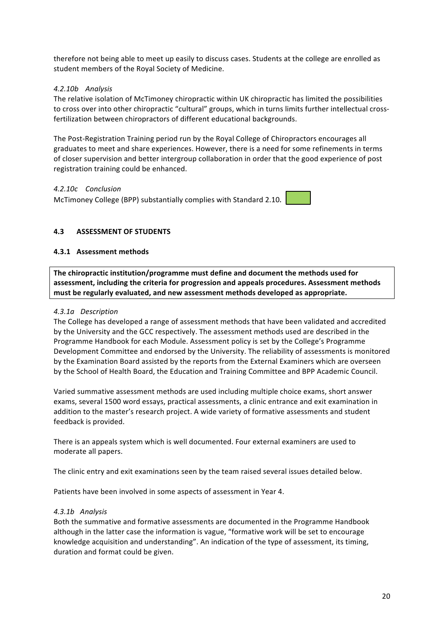therefore not being able to meet up easily to discuss cases. Students at the college are enrolled as student members of the Royal Society of Medicine.

## *4.2.10b Analysis*

The relative isolation of McTimoney chiropractic within UK chiropractic has limited the possibilities to cross over into other chiropractic "cultural" groups, which in turns limits further intellectual crossfertilization between chiropractors of different educational backgrounds.

The Post-Registration Training period run by the Royal College of Chiropractors encourages all graduates to meet and share experiences. However, there is a need for some refinements in terms of closer supervision and better intergroup collaboration in order that the good experience of post registration training could be enhanced.

## *4.2.10c Conclusion*

McTimoney College (BPP) substantially complies with Standard 2.10.

## **4.3 ASSESSMENT OF STUDENTS**

## **4.3.1 Assessment methods**

The chiropractic institution/programme must define and document the methods used for assessment, including the criteria for progression and appeals procedures. Assessment methods must be regularly evaluated, and new assessment methods developed as appropriate.

## *4.3.1a Description*

The College has developed a range of assessment methods that have been validated and accredited by the University and the GCC respectively. The assessment methods used are described in the Programme Handbook for each Module. Assessment policy is set by the College's Programme Development Committee and endorsed by the University. The reliability of assessments is monitored by the Examination Board assisted by the reports from the External Examiners which are overseen by the School of Health Board, the Education and Training Committee and BPP Academic Council.

Varied summative assessment methods are used including multiple choice exams, short answer exams, several 1500 word essays, practical assessments, a clinic entrance and exit examination in addition to the master's research project. A wide variety of formative assessments and student feedback is provided.

There is an appeals system which is well documented. Four external examiners are used to moderate all papers.

The clinic entry and exit examinations seen by the team raised several issues detailed below.

Patients have been involved in some aspects of assessment in Year 4.

## *4.3.1b Analysis*

Both the summative and formative assessments are documented in the Programme Handbook although in the latter case the information is vague, "formative work will be set to encourage knowledge acquisition and understanding". An indication of the type of assessment, its timing, duration and format could be given.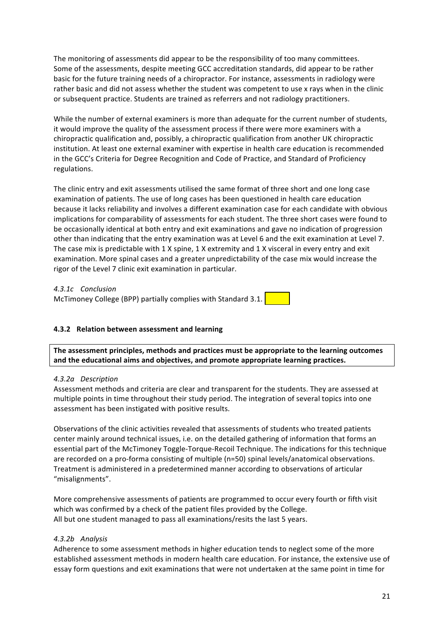The monitoring of assessments did appear to be the responsibility of too many committees. Some of the assessments, despite meeting GCC accreditation standards, did appear to be rather basic for the future training needs of a chiropractor. For instance, assessments in radiology were rather basic and did not assess whether the student was competent to use x rays when in the clinic or subsequent practice. Students are trained as referrers and not radiology practitioners.

While the number of external examiners is more than adequate for the current number of students, it would improve the quality of the assessment process if there were more examiners with a chiropractic qualification and, possibly, a chiropractic qualification from another UK chiropractic institution. At least one external examiner with expertise in health care education is recommended in the GCC's Criteria for Degree Recognition and Code of Practice, and Standard of Proficiency regulations. 

The clinic entry and exit assessments utilised the same format of three short and one long case examination of patients. The use of long cases has been questioned in health care education because it lacks reliability and involves a different examination case for each candidate with obvious implications for comparability of assessments for each student. The three short cases were found to be occasionally identical at both entry and exit examinations and gave no indication of progression other than indicating that the entry examination was at Level 6 and the exit examination at Level 7. The case mix is predictable with  $1 \times$  spine,  $1 \times$  extremity and  $1 \times$  visceral in every entry and exit examination. More spinal cases and a greater unpredictability of the case mix would increase the rigor of the Level 7 clinic exit examination in particular.

*4.3.1c Conclusion*

McTimoney College (BPP) partially complies with Standard 3.1.

## **4.3.2 Relation between assessment and learning**

The assessment principles, methods and practices must be appropriate to the learning outcomes and the educational aims and objectives, and promote appropriate learning practices.

## *4.3.2a Description*

Assessment methods and criteria are clear and transparent for the students. They are assessed at multiple points in time throughout their study period. The integration of several topics into one assessment has been instigated with positive results.

Observations of the clinic activities revealed that assessments of students who treated patients center mainly around technical issues, i.e. on the detailed gathering of information that forms an essential part of the McTimoney Toggle-Torque-Recoil Technique. The indications for this technique are recorded on a pro-forma consisting of multiple (n=50) spinal levels/anatomical observations. Treatment is administered in a predetermined manner according to observations of articular "misalignments". 

More comprehensive assessments of patients are programmed to occur every fourth or fifth visit which was confirmed by a check of the patient files provided by the College. All but one student managed to pass all examinations/resits the last 5 years.

## *4.3.2b Analysis*

Adherence to some assessment methods in higher education tends to neglect some of the more established assessment methods in modern health care education. For instance, the extensive use of essay form questions and exit examinations that were not undertaken at the same point in time for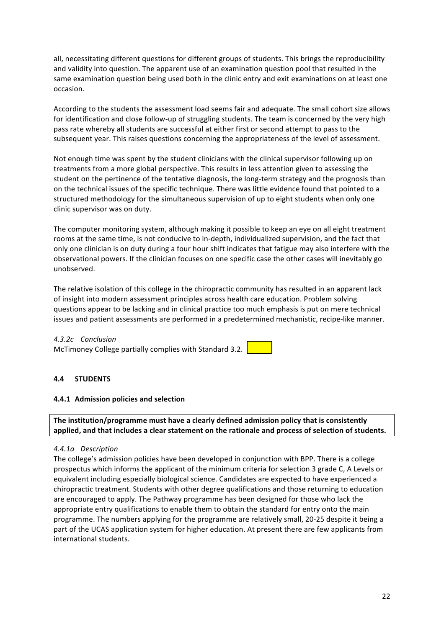all, necessitating different questions for different groups of students. This brings the reproducibility and validity into question. The apparent use of an examination question pool that resulted in the same examination question being used both in the clinic entry and exit examinations on at least one occasion.

According to the students the assessment load seems fair and adequate. The small cohort size allows for identification and close follow-up of struggling students. The team is concerned by the very high pass rate whereby all students are successful at either first or second attempt to pass to the subsequent year. This raises questions concerning the appropriateness of the level of assessment.

Not enough time was spent by the student clinicians with the clinical supervisor following up on treatments from a more global perspective. This results in less attention given to assessing the student on the pertinence of the tentative diagnosis, the long-term strategy and the prognosis than on the technical issues of the specific technique. There was little evidence found that pointed to a structured methodology for the simultaneous supervision of up to eight students when only one clinic supervisor was on duty.

The computer monitoring system, although making it possible to keep an eye on all eight treatment rooms at the same time, is not conducive to in-depth, individualized supervision, and the fact that only one clinician is on duty during a four hour shift indicates that fatigue may also interfere with the observational powers. If the clinician focuses on one specific case the other cases will inevitably go unobserved. 

The relative isolation of this college in the chiropractic community has resulted in an apparent lack of insight into modern assessment principles across health care education. Problem solving questions appear to be lacking and in clinical practice too much emphasis is put on mere technical issues and patient assessments are performed in a predetermined mechanistic, recipe-like manner.

*4.3.2c Conclusion* McTimoney College partially complies with Standard 3.2.

## **4.4 STUDENTS**

## **4.4.1 Admission policies and selection**

The institution/programme must have a clearly defined admission policy that is consistently applied, and that includes a clear statement on the rationale and process of selection of students.

## *4.4.1a Description*

The college's admission policies have been developed in conjunction with BPP. There is a college prospectus which informs the applicant of the minimum criteria for selection 3 grade C, A Levels or equivalent including especially biological science. Candidates are expected to have experienced a chiropractic treatment. Students with other degree qualifications and those returning to education are encouraged to apply. The Pathway programme has been designed for those who lack the appropriate entry qualifications to enable them to obtain the standard for entry onto the main programme. The numbers applying for the programme are relatively small, 20-25 despite it being a part of the UCAS application system for higher education. At present there are few applicants from international students.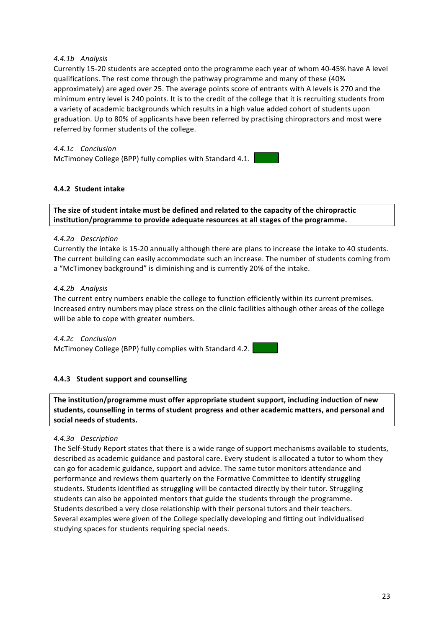## *4.4.1b Analysis*

Currently 15-20 students are accepted onto the programme each year of whom 40-45% have A level qualifications. The rest come through the pathway programme and many of these (40%) approximately) are aged over 25. The average points score of entrants with A levels is 270 and the minimum entry level is 240 points. It is to the credit of the college that it is recruiting students from a variety of academic backgrounds which results in a high value added cohort of students upon graduation. Up to 80% of applicants have been referred by practising chiropractors and most were referred by former students of the college.

## *4.4.1c Conclusion*

McTimoney College (BPP) fully complies with Standard 4.1.

## **4.4.2 Student intake**

The size of student intake must be defined and related to the capacity of the chiropractic institution/programme to provide adequate resources at all stages of the programme.

## *4.4.2a Description*

Currently the intake is 15-20 annually although there are plans to increase the intake to 40 students. The current building can easily accommodate such an increase. The number of students coming from a "McTimoney background" is diminishing and is currently 20% of the intake.

## *4.4.2b Analysis*

The current entry numbers enable the college to function efficiently within its current premises. Increased entry numbers may place stress on the clinic facilities although other areas of the college will be able to cope with greater numbers.

*4.4.2c Conclusion* McTimoney College (BPP) fully complies with Standard 4.2.

## **4.4.3** Student support and counselling

The institution/programme must offer appropriate student support, including induction of new students, counselling in terms of student progress and other academic matters, and personal and **social needs of students.**

## *4.4.3a Description*

The Self-Study Report states that there is a wide range of support mechanisms available to students, described as academic guidance and pastoral care. Every student is allocated a tutor to whom they can go for academic guidance, support and advice. The same tutor monitors attendance and performance and reviews them quarterly on the Formative Committee to identify struggling students. Students identified as struggling will be contacted directly by their tutor. Struggling students can also be appointed mentors that guide the students through the programme. Students described a very close relationship with their personal tutors and their teachers. Several examples were given of the College specially developing and fitting out individualised studying spaces for students requiring special needs.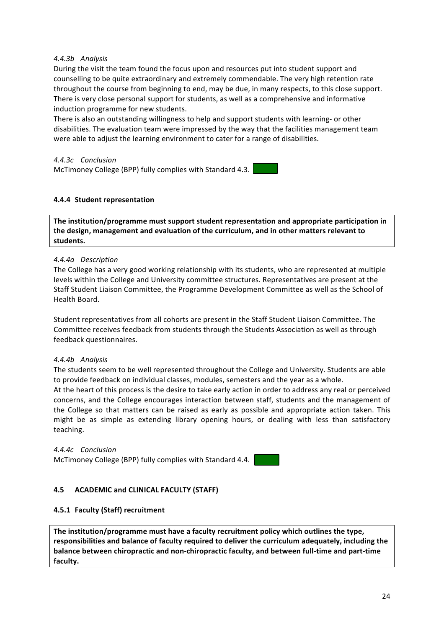## *4.4.3b Analysis*

During the visit the team found the focus upon and resources put into student support and counselling to be quite extraordinary and extremely commendable. The very high retention rate throughout the course from beginning to end, may be due, in many respects, to this close support. There is very close personal support for students, as well as a comprehensive and informative induction programme for new students.

There is also an outstanding willingness to help and support students with learning- or other disabilities. The evaluation team were impressed by the way that the facilities management team were able to adjust the learning environment to cater for a range of disabilities.

*4.4.3c Conclusion* McTimoney College (BPP) fully complies with Standard 4.3.

## **4.4.4 Student representation**

The institution/programme must support student representation and appropriate participation in the design, management and evaluation of the curriculum, and in other matters relevant to **students.**

#### *4.4.4a Description*

The College has a very good working relationship with its students, who are represented at multiple levels within the College and University committee structures. Representatives are present at the Staff Student Liaison Committee, the Programme Development Committee as well as the School of Health Board

Student representatives from all cohorts are present in the Staff Student Liaison Committee. The Committee receives feedback from students through the Students Association as well as through feedback questionnaires.

#### *4.4.4b Analysis*

The students seem to be well represented throughout the College and University. Students are able to provide feedback on individual classes, modules, semesters and the year as a whole.

At the heart of this process is the desire to take early action in order to address any real or perceived concerns, and the College encourages interaction between staff, students and the management of the College so that matters can be raised as early as possible and appropriate action taken. This might be as simple as extending library opening hours, or dealing with less than satisfactory teaching.

*4.4.4c Conclusion* McTimoney College (BPP) fully complies with Standard 4.4.

## **4.5 ACADEMIC and CLINICAL FACULTY (STAFF)**

## **4.5.1 Faculty (Staff) recruitment**

The institution/programme must have a faculty recruitment policy which outlines the type, responsibilities and balance of faculty required to deliver the curriculum adequately, including the balance between chiropractic and non-chiropractic faculty, and between full-time and part-time **faculty.**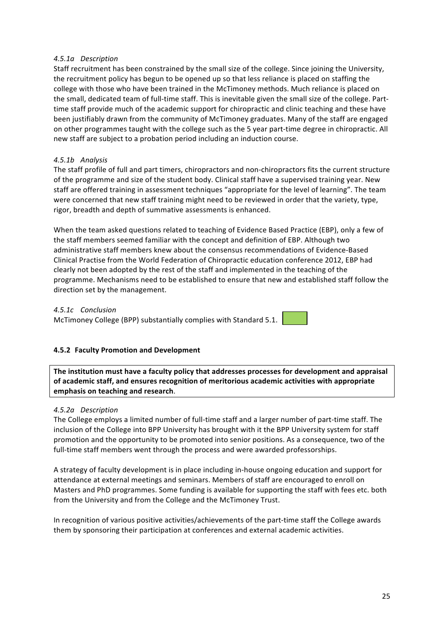## *4.5.1a Description*

Staff recruitment has been constrained by the small size of the college. Since joining the University, the recruitment policy has begun to be opened up so that less reliance is placed on staffing the college with those who have been trained in the McTimoney methods. Much reliance is placed on the small, dedicated team of full-time staff. This is inevitable given the small size of the college. Parttime staff provide much of the academic support for chiropractic and clinic teaching and these have been justifiably drawn from the community of McTimoney graduates. Many of the staff are engaged on other programmes taught with the college such as the 5 year part-time degree in chiropractic. All new staff are subject to a probation period including an induction course.

## *4.5.1b Analysis*

The staff profile of full and part timers, chiropractors and non-chiropractors fits the current structure of the programme and size of the student body. Clinical staff have a supervised training year. New staff are offered training in assessment techniques "appropriate for the level of learning". The team were concerned that new staff training might need to be reviewed in order that the variety, type, rigor, breadth and depth of summative assessments is enhanced.

When the team asked questions related to teaching of Evidence Based Practice (EBP), only a few of the staff members seemed familiar with the concept and definition of EBP. Although two administrative staff members knew about the consensus recommendations of Evidence-Based Clinical Practise from the World Federation of Chiropractic education conference 2012, EBP had clearly not been adopted by the rest of the staff and implemented in the teaching of the programme. Mechanisms need to be established to ensure that new and established staff follow the direction set by the management.

## *4.5.1c Conclusion*

McTimoney College (BPP) substantially complies with Standard 5.1.

## **4.5.2 Faculty Promotion and Development**

The institution must have a faculty policy that addresses processes for development and appraisal of academic staff, and ensures recognition of meritorious academic activities with appropriate **emphasis on teaching and research**.

## *4.5.2a Description*

The College employs a limited number of full-time staff and a larger number of part-time staff. The inclusion of the College into BPP University has brought with it the BPP University system for staff promotion and the opportunity to be promoted into senior positions. As a consequence, two of the full-time staff members went through the process and were awarded professorships.

A strategy of faculty development is in place including in-house ongoing education and support for attendance at external meetings and seminars. Members of staff are encouraged to enroll on Masters and PhD programmes. Some funding is available for supporting the staff with fees etc. both from the University and from the College and the McTimoney Trust.

In recognition of various positive activities/achievements of the part-time staff the College awards them by sponsoring their participation at conferences and external academic activities.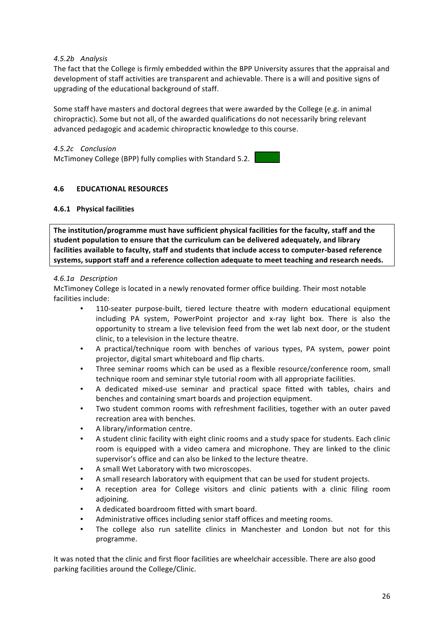## *4.5.2b Analysis*

The fact that the College is firmly embedded within the BPP University assures that the appraisal and development of staff activities are transparent and achievable. There is a will and positive signs of upgrading of the educational background of staff.

Some staff have masters and doctoral degrees that were awarded by the College (e.g. in animal chiropractic). Some but not all, of the awarded qualifications do not necessarily bring relevant advanced pedagogic and academic chiropractic knowledge to this course.

*4.5.2c Conclusion* McTimoney College (BPP) fully complies with Standard 5.2.

## **4.6 EDUCATIONAL RESOURCES**

## **4.6.1 Physical facilities**

The institution/programme must have sufficient physical facilities for the faculty, staff and the student population to ensure that the curriculum can be delivered adequately, and library facilities available to faculty, staff and students that include access to computer-based reference systems, support staff and a reference collection adequate to meet teaching and research needs.

## *4.6.1a Description*

McTimoney College is located in a newly renovated former office building. Their most notable facilities include:

- 110-seater purpose-built, tiered lecture theatre with modern educational equipment including PA system, PowerPoint projector and x-ray light box. There is also the opportunity to stream a live television feed from the wet lab next door, or the student clinic, to a television in the lecture theatre.
- A practical/technique room with benches of various types, PA system, power point projector, digital smart whiteboard and flip charts.
- Three seminar rooms which can be used as a flexible resource/conference room, small technique room and seminar style tutorial room with all appropriate facilities.
- A dedicated mixed-use seminar and practical space fitted with tables, chairs and benches and containing smart boards and projection equipment.
- Two student common rooms with refreshment facilities, together with an outer paved recreation area with benches.
- A library/information centre.
- A student clinic facility with eight clinic rooms and a study space for students. Each clinic room is equipped with a video camera and microphone. They are linked to the clinic supervisor's office and can also be linked to the lecture theatre.
- A small Wet Laboratory with two microscopes.
- A small research laboratory with equipment that can be used for student projects.
- A reception area for College visitors and clinic patients with a clinic filing room adjoining.
- A dedicated boardroom fitted with smart board.
- Administrative offices including senior staff offices and meeting rooms.
- The college also run satellite clinics in Manchester and London but not for this programme.

It was noted that the clinic and first floor facilities are wheelchair accessible. There are also good parking facilities around the College/Clinic.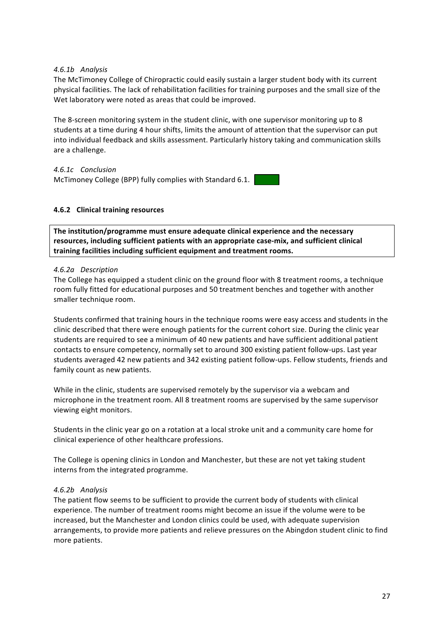## *4.6.1b Analysis*

The McTimoney College of Chiropractic could easily sustain a larger student body with its current physical facilities. The lack of rehabilitation facilities for training purposes and the small size of the Wet laboratory were noted as areas that could be improved.

The 8-screen monitoring system in the student clinic, with one supervisor monitoring up to 8 students at a time during 4 hour shifts, limits the amount of attention that the supervisor can put into individual feedback and skills assessment. Particularly history taking and communication skills are a challenge.

*4.6.1c Conclusion* McTimoney College (BPP) fully complies with Standard 6.1.

## **4.6.2 Clinical training resources**

The institution/programme must ensure adequate clinical experience and the necessary resources, including sufficient patients with an appropriate case-mix, and sufficient clinical training facilities including sufficient equipment and treatment rooms.

## *4.6.2a Description*

The College has equipped a student clinic on the ground floor with 8 treatment rooms, a technique room fully fitted for educational purposes and 50 treatment benches and together with another smaller technique room.

Students confirmed that training hours in the technique rooms were easy access and students in the clinic described that there were enough patients for the current cohort size. During the clinic year students are required to see a minimum of 40 new patients and have sufficient additional patient contacts to ensure competency, normally set to around 300 existing patient follow-ups. Last year students averaged 42 new patients and 342 existing patient follow-ups. Fellow students, friends and family count as new patients.

While in the clinic, students are supervised remotely by the supervisor via a webcam and microphone in the treatment room. All 8 treatment rooms are supervised by the same supervisor viewing eight monitors.

Students in the clinic year go on a rotation at a local stroke unit and a community care home for clinical experience of other healthcare professions.

The College is opening clinics in London and Manchester, but these are not yet taking student interns from the integrated programme.

## *4.6.2b Analysis*

The patient flow seems to be sufficient to provide the current body of students with clinical experience. The number of treatment rooms might become an issue if the volume were to be increased, but the Manchester and London clinics could be used, with adequate supervision arrangements, to provide more patients and relieve pressures on the Abingdon student clinic to find more patients.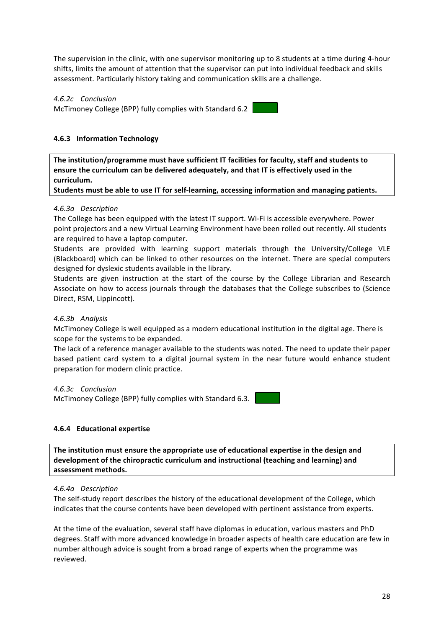The supervision in the clinic, with one supervisor monitoring up to 8 students at a time during 4-hour shifts, limits the amount of attention that the supervisor can put into individual feedback and skills assessment. Particularly history taking and communication skills are a challenge.

*4.6.2c Conclusion* McTimoney College (BPP) fully complies with Standard 6.2

## **4.6.3 Information Technology**

The institution/programme must have sufficient IT facilities for faculty, staff and students to ensure the curriculum can be delivered adequately, and that IT is effectively used in the **curriculum.** 

Students must be able to use IT for self-learning, accessing information and managing patients.

#### *4.6.3a Description*

The College has been equipped with the latest IT support. Wi-Fi is accessible everywhere. Power point projectors and a new Virtual Learning Environment have been rolled out recently. All students are required to have a laptop computer.

Students are provided with learning support materials through the University/College VLE (Blackboard) which can be linked to other resources on the internet. There are special computers designed for dyslexic students available in the library.

Students are given instruction at the start of the course by the College Librarian and Research Associate on how to access journals through the databases that the College subscribes to (Science Direct, RSM, Lippincott).

## *4.6.3b Analysis*

McTimoney College is well equipped as a modern educational institution in the digital age. There is scope for the systems to be expanded.

The lack of a reference manager available to the students was noted. The need to update their paper based patient card system to a digital journal system in the near future would enhance student preparation for modern clinic practice.

*4.6.3c Conclusion*

McTimoney College (BPP) fully complies with Standard 6.3.

## **4.6.4 Educational expertise**

The institution must ensure the appropriate use of educational expertise in the design and development of the chiropractic curriculum and instructional (teaching and learning) and **assessment methods.**

#### *4.6.4a Description*

The self-study report describes the history of the educational development of the College, which indicates that the course contents have been developed with pertinent assistance from experts.

At the time of the evaluation, several staff have diplomas in education, various masters and PhD degrees. Staff with more advanced knowledge in broader aspects of health care education are few in number although advice is sought from a broad range of experts when the programme was reviewed.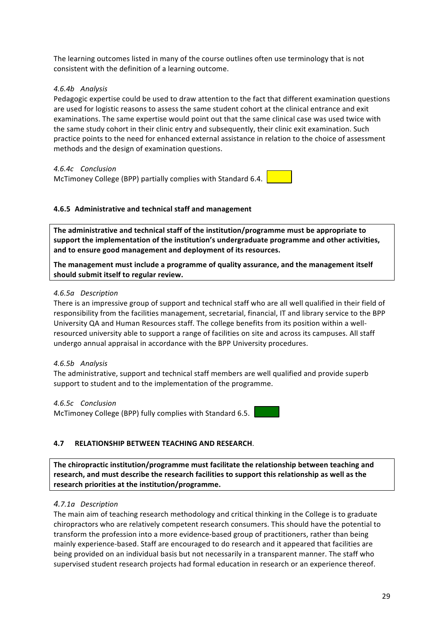The learning outcomes listed in many of the course outlines often use terminology that is not consistent with the definition of a learning outcome.

## *4.6.4b Analysis*

Pedagogic expertise could be used to draw attention to the fact that different examination questions are used for logistic reasons to assess the same student cohort at the clinical entrance and exit examinations. The same expertise would point out that the same clinical case was used twice with the same study cohort in their clinic entry and subsequently, their clinic exit examination. Such practice points to the need for enhanced external assistance in relation to the choice of assessment methods and the design of examination questions.

*4.6.4c Conclusion* McTimoney College (BPP) partially complies with Standard 6.4.

## **4.6.5** Administrative and technical staff and management

The administrative and technical staff of the institution/programme must be appropriate to support the implementation of the institution's undergraduate programme and other activities, and to ensure good management and deployment of its resources.

The management must include a programme of quality assurance, and the management itself should submit itself to regular review.

## *4.6.5a Description*

There is an impressive group of support and technical staff who are all well qualified in their field of responsibility from the facilities management, secretarial, financial, IT and library service to the BPP University QA and Human Resources staff. The college benefits from its position within a wellresourced university able to support a range of facilities on site and across its campuses. All staff undergo annual appraisal in accordance with the BPP University procedures.

## *4.6.5b Analysis*

The administrative, support and technical staff members are well qualified and provide superb support to student and to the implementation of the programme.

## *4.6.5c Conclusion*

McTimoney College (BPP) fully complies with Standard 6.5.

## **4.7 RELATIONSHIP BETWEEN TEACHING AND RESEARCH**.

The chiropractic institution/programme must facilitate the relationship between teaching and research, and must describe the research facilities to support this relationship as well as the research priorities at the institution/programme.

## *4.7.1a Description*

The main aim of teaching research methodology and critical thinking in the College is to graduate chiropractors who are relatively competent research consumers. This should have the potential to transform the profession into a more evidence-based group of practitioners, rather than being mainly experience-based. Staff are encouraged to do research and it appeared that facilities are being provided on an individual basis but not necessarily in a transparent manner. The staff who supervised student research projects had formal education in research or an experience thereof.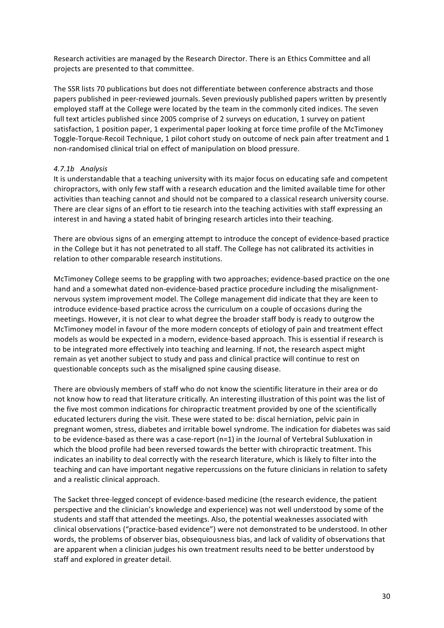Research activities are managed by the Research Director. There is an Ethics Committee and all projects are presented to that committee.

The SSR lists 70 publications but does not differentiate between conference abstracts and those papers published in peer-reviewed journals. Seven previously published papers written by presently employed staff at the College were located by the team in the commonly cited indices. The seven full text articles published since 2005 comprise of 2 surveys on education, 1 survey on patient satisfaction, 1 position paper, 1 experimental paper looking at force time profile of the McTimoney Toggle-Torque-Recoil Technique, 1 pilot cohort study on outcome of neck pain after treatment and 1 non-randomised clinical trial on effect of manipulation on blood pressure.

## *4.7.1b Analysis*

It is understandable that a teaching university with its major focus on educating safe and competent chiropractors, with only few staff with a research education and the limited available time for other activities than teaching cannot and should not be compared to a classical research university course. There are clear signs of an effort to tie research into the teaching activities with staff expressing an interest in and having a stated habit of bringing research articles into their teaching.

There are obvious signs of an emerging attempt to introduce the concept of evidence-based practice in the College but it has not penetrated to all staff. The College has not calibrated its activities in relation to other comparable research institutions.

McTimoney College seems to be grappling with two approaches; evidence-based practice on the one hand and a somewhat dated non-evidence-based practice procedure including the misalignmentnervous system improvement model. The College management did indicate that they are keen to introduce evidence-based practice across the curriculum on a couple of occasions during the meetings. However, it is not clear to what degree the broader staff body is ready to outgrow the McTimoney model in favour of the more modern concepts of etiology of pain and treatment effect models as would be expected in a modern, evidence-based approach. This is essential if research is to be integrated more effectively into teaching and learning. If not, the research aspect might remain as yet another subject to study and pass and clinical practice will continue to rest on questionable concepts such as the misaligned spine causing disease.

There are obviously members of staff who do not know the scientific literature in their area or do not know how to read that literature critically. An interesting illustration of this point was the list of the five most common indications for chiropractic treatment provided by one of the scientifically educated lecturers during the visit. These were stated to be: discal herniation, pelvic pain in pregnant women, stress, diabetes and irritable bowel syndrome. The indication for diabetes was said to be evidence-based as there was a case-report  $(n=1)$  in the Journal of Vertebral Subluxation in which the blood profile had been reversed towards the better with chiropractic treatment. This indicates an inability to deal correctly with the research literature, which is likely to filter into the teaching and can have important negative repercussions on the future clinicians in relation to safety and a realistic clinical approach.

The Sacket three-legged concept of evidence-based medicine (the research evidence, the patient perspective and the clinician's knowledge and experience) was not well understood by some of the students and staff that attended the meetings. Also, the potential weaknesses associated with clinical observations ("practice-based evidence") were not demonstrated to be understood. In other words, the problems of observer bias, obsequiousness bias, and lack of validity of observations that are apparent when a clinician judges his own treatment results need to be better understood by staff and explored in greater detail.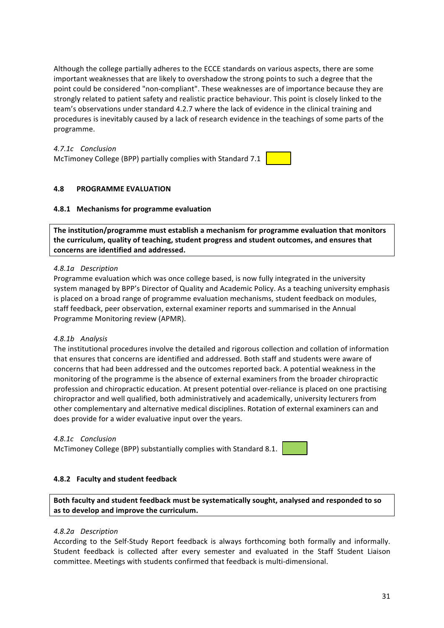Although the college partially adheres to the ECCE standards on various aspects, there are some important weaknesses that are likely to overshadow the strong points to such a degree that the point could be considered "non-compliant". These weaknesses are of importance because they are strongly related to patient safety and realistic practice behaviour. This point is closely linked to the team's observations under standard 4.2.7 where the lack of evidence in the clinical training and procedures is inevitably caused by a lack of research evidence in the teachings of some parts of the programme. 

*4.7.1c Conclusion* McTimoney College (BPP) partially complies with Standard 7.1

## **4.8 PROGRAMME EVALUATION**

## **4.8.1 Mechanisms for programme evaluation**

The institution/programme must establish a mechanism for programme evaluation that monitors the curriculum, quality of teaching, student progress and student outcomes, and ensures that concerns are identified and addressed.

#### *4.8.1a Description*

Programme evaluation which was once college based, is now fully integrated in the university system managed by BPP's Director of Quality and Academic Policy. As a teaching university emphasis is placed on a broad range of programme evaluation mechanisms, student feedback on modules, staff feedback, peer observation, external examiner reports and summarised in the Annual Programme Monitoring review (APMR).

## *4.8.1b Analysis*

The institutional procedures involve the detailed and rigorous collection and collation of information that ensures that concerns are identified and addressed. Both staff and students were aware of concerns that had been addressed and the outcomes reported back. A potential weakness in the monitoring of the programme is the absence of external examiners from the broader chiropractic profession and chiropractic education. At present potential over-reliance is placed on one practising chiropractor and well qualified, both administratively and academically, university lecturers from other complementary and alternative medical disciplines. Rotation of external examiners can and does provide for a wider evaluative input over the years.

#### *4.8.1c Conclusion*

McTimoney College (BPP) substantially complies with Standard 8.1.

#### **4.8.2 Faculty and student feedback**

Both faculty and student feedback must be systematically sought, analysed and responded to so as to develop and improve the curriculum.

#### *4.8.2a Description*

According to the Self-Study Report feedback is always forthcoming both formally and informally. Student feedback is collected after every semester and evaluated in the Staff Student Liaison committee. Meetings with students confirmed that feedback is multi-dimensional.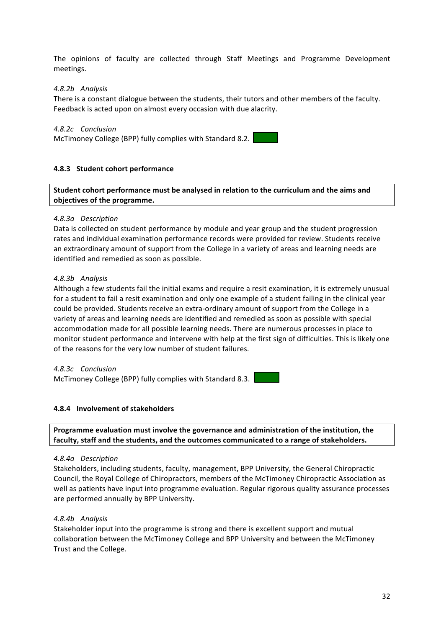The opinions of faculty are collected through Staff Meetings and Programme Development meetings.

## *4.8.2b Analysis*

There is a constant dialogue between the students, their tutors and other members of the faculty. Feedback is acted upon on almost every occasion with due alacrity.

## *4.8.2c Conclusion*

McTimoney College (BPP) fully complies with Standard 8.2.

## **4.8.3 Student cohort performance**

**Student cohort performance must be analysed in relation to the curriculum and the aims and objectives of the programme.** 

## *4.8.3a Description*

Data is collected on student performance by module and year group and the student progression rates and individual examination performance records were provided for review. Students receive an extraordinary amount of support from the College in a variety of areas and learning needs are identified and remedied as soon as possible.

## *4.8.3b Analysis*

Although a few students fail the initial exams and require a resit examination, it is extremely unusual for a student to fail a resit examination and only one example of a student failing in the clinical year could be provided. Students receive an extra-ordinary amount of support from the College in a variety of areas and learning needs are identified and remedied as soon as possible with special accommodation made for all possible learning needs. There are numerous processes in place to monitor student performance and intervene with help at the first sign of difficulties. This is likely one of the reasons for the very low number of student failures.

## *4.8.3c Conclusion*

McTimoney College (BPP) fully complies with Standard 8.3.

## **4.8.4** Involvement of stakeholders

Programme evaluation must involve the governance and administration of the institution, the faculty, staff and the students, and the outcomes communicated to a range of stakeholders.

## *4.8.4a Description*

Stakeholders, including students, faculty, management, BPP University, the General Chiropractic Council, the Royal College of Chiropractors, members of the McTimoney Chiropractic Association as well as patients have input into programme evaluation. Regular rigorous quality assurance processes are performed annually by BPP University.

## *4.8.4b Analysis*

Stakeholder input into the programme is strong and there is excellent support and mutual collaboration between the McTimoney College and BPP University and between the McTimoney Trust and the College.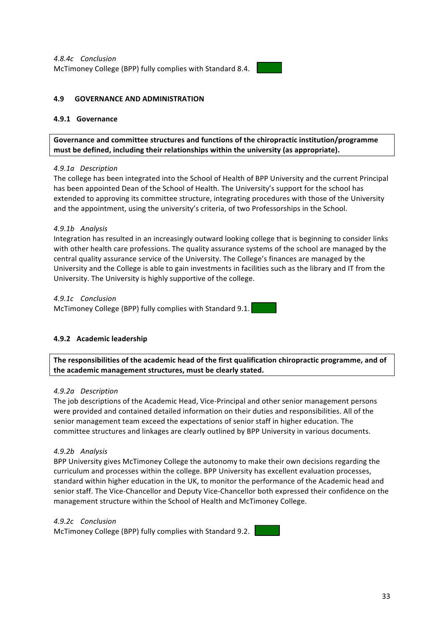

## **4.9 GOVERNANCE AND ADMINISTRATION**

## **4.9.1 Governance**

Governance and committee structures and functions of the chiropractic institution/programme must be defined, including their relationships within the university (as appropriate).

## *4.9.1a Description*

The college has been integrated into the School of Health of BPP University and the current Principal has been appointed Dean of the School of Health. The University's support for the school has extended to approving its committee structure, integrating procedures with those of the University and the appointment, using the university's criteria, of two Professorships in the School.

## *4.9.1b Analysis*

Integration has resulted in an increasingly outward looking college that is beginning to consider links with other health care professions. The quality assurance systems of the school are managed by the central quality assurance service of the University. The College's finances are managed by the University and the College is able to gain investments in facilities such as the library and IT from the University. The University is highly supportive of the college.

*4.9.1c Conclusion* McTimoney College (BPP) fully complies with Standard 9.1.

## **4.9.2 Academic leadership**

The responsibilities of the academic head of the first qualification chiropractic programme, and of the academic management structures, must be clearly stated.

#### *4.9.2a Description*

The job descriptions of the Academic Head, Vice-Principal and other senior management persons were provided and contained detailed information on their duties and responsibilities. All of the senior management team exceed the expectations of senior staff in higher education. The committee structures and linkages are clearly outlined by BPP University in various documents.

## *4.9.2b Analysis*

BPP University gives McTimoney College the autonomy to make their own decisions regarding the curriculum and processes within the college. BPP University has excellent evaluation processes, standard within higher education in the UK, to monitor the performance of the Academic head and senior staff. The Vice-Chancellor and Deputy Vice-Chancellor both expressed their confidence on the management structure within the School of Health and McTimoney College.

#### *4.9.2c Conclusion*

McTimoney College (BPP) fully complies with Standard 9.2.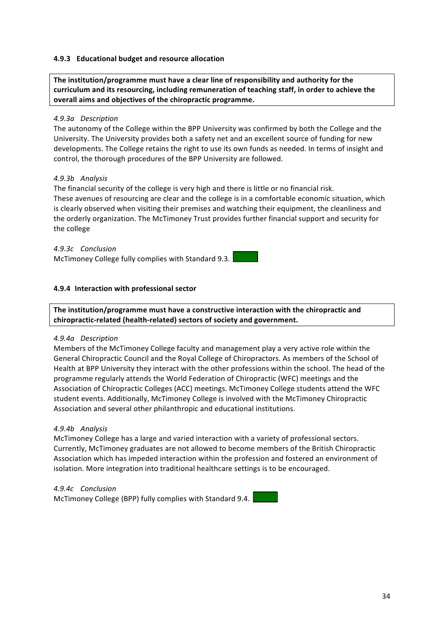## **4.9.3** Educational budget and resource allocation

The institution/programme must have a clear line of responsibility and authority for the curriculum and its resourcing, including remuneration of teaching staff, in order to achieve the **overall aims and objectives of the chiropractic programme.** 

## *4.9.3a Description*

The autonomy of the College within the BPP University was confirmed by both the College and the University. The University provides both a safety net and an excellent source of funding for new developments. The College retains the right to use its own funds as needed. In terms of insight and control, the thorough procedures of the BPP University are followed.

## *4.9.3b Analysis*

The financial security of the college is very high and there is little or no financial risk. These avenues of resourcing are clear and the college is in a comfortable economic situation, which is clearly observed when visiting their premises and watching their equipment, the cleanliness and the orderly organization. The McTimoney Trust provides further financial support and security for the college

*4.9.3c Conclusion* McTimoney College fully complies with Standard 9.3.

## **4.9.4 Interaction with professional sector**

The institution/programme must have a constructive interaction with the chiropractic and chiropractic-related (health-related) sectors of society and government.

## *4.9.4a Description*

Members of the McTimoney College faculty and management play a very active role within the General Chiropractic Council and the Royal College of Chiropractors. As members of the School of Health at BPP University they interact with the other professions within the school. The head of the programme regularly attends the World Federation of Chiropractic (WFC) meetings and the Association of Chiropractic Colleges (ACC) meetings. McTimoney College students attend the WFC student events. Additionally, McTimoney College is involved with the McTimoney Chiropractic Association and several other philanthropic and educational institutions.

## *4.9.4b Analysis*

McTimoney College has a large and varied interaction with a variety of professional sectors. Currently, McTimoney graduates are not allowed to become members of the British Chiropractic Association which has impeded interaction within the profession and fostered an environment of isolation. More integration into traditional healthcare settings is to be encouraged.

## *4.9.4c Conclusion*

McTimoney College (BPP) fully complies with Standard 9.4.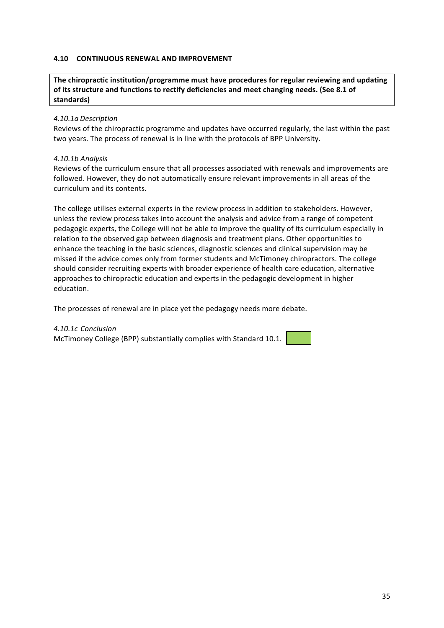## **4.10 CONTINUOUS RENEWAL AND IMPROVEMENT**

## The chiropractic institution/programme must have procedures for regular reviewing and updating of its structure and functions to rectify deficiencies and meet changing needs. (See 8.1 of **standards)**

#### *4.10.1a Description*

Reviews of the chiropractic programme and updates have occurred regularly, the last within the past two years. The process of renewal is in line with the protocols of BPP University.

#### *4.10.1b Analysis*

Reviews of the curriculum ensure that all processes associated with renewals and improvements are followed. However, they do not automatically ensure relevant improvements in all areas of the curriculum and its contents*.*

The college utilises external experts in the review process in addition to stakeholders. However, unless the review process takes into account the analysis and advice from a range of competent pedagogic experts, the College will not be able to improve the quality of its curriculum especially in relation to the observed gap between diagnosis and treatment plans. Other opportunities to enhance the teaching in the basic sciences, diagnostic sciences and clinical supervision may be missed if the advice comes only from former students and McTimoney chiropractors. The college should consider recruiting experts with broader experience of health care education, alternative approaches to chiropractic education and experts in the pedagogic development in higher education. 

The processes of renewal are in place yet the pedagogy needs more debate.

#### *4.10.1c Conclusion*

McTimoney College (BPP) substantially complies with Standard 10.1.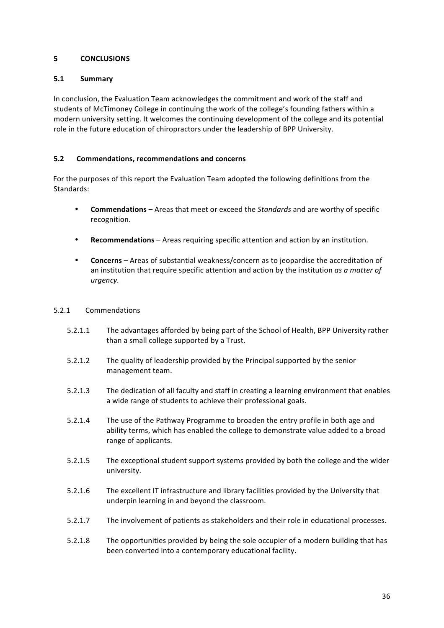## **5 CONCLUSIONS**

## **5.1 Summary**

In conclusion, the Evaluation Team acknowledges the commitment and work of the staff and students of McTimoney College in continuing the work of the college's founding fathers within a modern university setting. It welcomes the continuing development of the college and its potential role in the future education of chiropractors under the leadership of BPP University.

## **5.2 Commendations, recommendations and concerns**

For the purposes of this report the Evaluation Team adopted the following definitions from the Standards:

- **Commendations** Areas that meet or exceed the *Standards* and are worthy of specific recognition.
- Recommendations Areas requiring specific attention and action by an institution.
- **Concerns** Areas of substantial weakness/concern as to jeopardise the accreditation of an institution that require specific attention and action by the institution *as a matter of urgency.*

## 5.2.1 Commendations

- 5.2.1.1 The advantages afforded by being part of the School of Health, BPP University rather than a small college supported by a Trust.
- 5.2.1.2 The quality of leadership provided by the Principal supported by the senior management team.
- 5.2.1.3 The dedication of all faculty and staff in creating a learning environment that enables a wide range of students to achieve their professional goals.
- 5.2.1.4 The use of the Pathway Programme to broaden the entry profile in both age and ability terms, which has enabled the college to demonstrate value added to a broad range of applicants.
- 5.2.1.5 The exceptional student support systems provided by both the college and the wider university.
- 5.2.1.6 The excellent IT infrastructure and library facilities provided by the University that underpin learning in and beyond the classroom.
- 5.2.1.7 The involvement of patients as stakeholders and their role in educational processes.
- 5.2.1.8 The opportunities provided by being the sole occupier of a modern building that has been converted into a contemporary educational facility.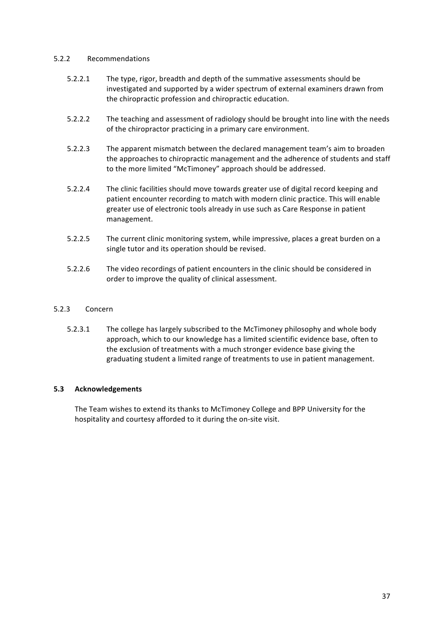## 5.2.2 Recommendations

- 5.2.2.1 The type, rigor, breadth and depth of the summative assessments should be investigated and supported by a wider spectrum of external examiners drawn from the chiropractic profession and chiropractic education.
- 5.2.2.2 The teaching and assessment of radiology should be brought into line with the needs of the chiropractor practicing in a primary care environment.
- 5.2.2.3 The apparent mismatch between the declared management team's aim to broaden the approaches to chiropractic management and the adherence of students and staff to the more limited "McTimoney" approach should be addressed.
- 5.2.2.4 The clinic facilities should move towards greater use of digital record keeping and patient encounter recording to match with modern clinic practice. This will enable greater use of electronic tools already in use such as Care Response in patient management.
- 5.2.2.5 The current clinic monitoring system, while impressive, places a great burden on a single tutor and its operation should be revised.
- 5.2.2.6 The video recordings of patient encounters in the clinic should be considered in order to improve the quality of clinical assessment.

## 5.2.3 Concern

5.2.3.1 The college has largely subscribed to the McTimoney philosophy and whole body approach, which to our knowledge has a limited scientific evidence base, often to the exclusion of treatments with a much stronger evidence base giving the graduating student a limited range of treatments to use in patient management.

## **5.3 Acknowledgements**

The Team wishes to extend its thanks to McTimoney College and BPP University for the hospitality and courtesy afforded to it during the on-site visit.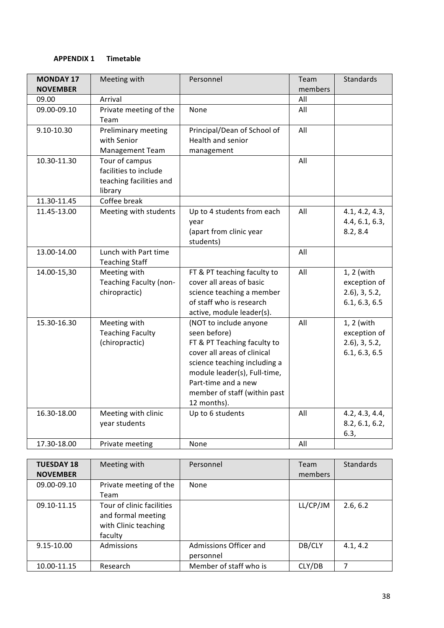## **APPENDIX 1 Timetable**

| <b>MONDAY 17</b> | Meeting with                          | Personnel                    | Team    | <b>Standards</b>           |
|------------------|---------------------------------------|------------------------------|---------|----------------------------|
| <b>NOVEMBER</b>  |                                       |                              | members |                            |
| 09.00            | Arrival                               |                              | All     |                            |
| 09.00-09.10      | Private meeting of the                | None                         | All     |                            |
|                  | Team                                  |                              |         |                            |
| 9.10-10.30       | Preliminary meeting                   | Principal/Dean of School of  | All     |                            |
|                  | with Senior                           | Health and senior            |         |                            |
|                  | Management Team                       | management                   |         |                            |
| 10.30-11.30      | Tour of campus                        |                              | All     |                            |
|                  | facilities to include                 |                              |         |                            |
|                  | teaching facilities and               |                              |         |                            |
|                  | library                               |                              |         |                            |
| 11.30-11.45      | Coffee break                          |                              |         |                            |
| 11.45-13.00      | Meeting with students                 | Up to 4 students from each   | All     | 4.1, 4.2, 4.3,             |
|                  |                                       | year                         |         | 4.4, 6.1, 6.3,             |
|                  |                                       | (apart from clinic year      |         | 8.2, 8.4                   |
|                  |                                       | students)                    |         |                            |
| 13.00-14.00      | Lunch with Part time                  |                              | All     |                            |
| 14.00-15,30      | <b>Teaching Staff</b><br>Meeting with | FT & PT teaching faculty to  | All     |                            |
|                  | Teaching Faculty (non-                | cover all areas of basic     |         | 1, 2 (with<br>exception of |
|                  | chiropractic)                         | science teaching a member    |         | $2.6$ , $3, 5.2$ ,         |
|                  |                                       | of staff who is research     |         | 6.1, 6.3, 6.5              |
|                  |                                       | active, module leader(s).    |         |                            |
| 15.30-16.30      | Meeting with                          | (NOT to include anyone       | All     | 1, 2 (with                 |
|                  | <b>Teaching Faculty</b>               | seen before)                 |         | exception of               |
|                  | (chiropractic)                        | FT & PT Teaching faculty to  |         | $2.6$ , $3, 5.2$ ,         |
|                  |                                       | cover all areas of clinical  |         | 6.1, 6.3, 6.5              |
|                  |                                       | science teaching including a |         |                            |
|                  |                                       | module leader(s), Full-time, |         |                            |
|                  |                                       | Part-time and a new          |         |                            |
|                  |                                       | member of staff (within past |         |                            |
|                  |                                       | 12 months).                  |         |                            |
| 16.30-18.00      | Meeting with clinic                   | Up to 6 students             | All     | 4.2, 4.3, 4.4,             |
|                  | year students                         |                              |         | 8.2, 6.1, 6.2,             |
|                  |                                       |                              |         | 6.3,                       |
| 17.30-18.00      | Private meeting                       | None                         | All     |                            |

| <b>TUESDAY 18</b><br><b>NOVEMBER</b> | Meeting with                                                                       | Personnel                           | Team<br>members | Standards |
|--------------------------------------|------------------------------------------------------------------------------------|-------------------------------------|-----------------|-----------|
| 09.00-09.10                          | Private meeting of the<br>Team                                                     | None                                |                 |           |
| 09.10-11.15                          | Tour of clinic facilities<br>and formal meeting<br>with Clinic teaching<br>faculty |                                     | LL/CP/JM        | 2.6, 6.2  |
| 9.15-10.00                           | Admissions                                                                         | Admissions Officer and<br>personnel | DB/CLY          | 4.1, 4.2  |
| 10.00-11.15                          | Research                                                                           | Member of staff who is              | CLY/DB          |           |